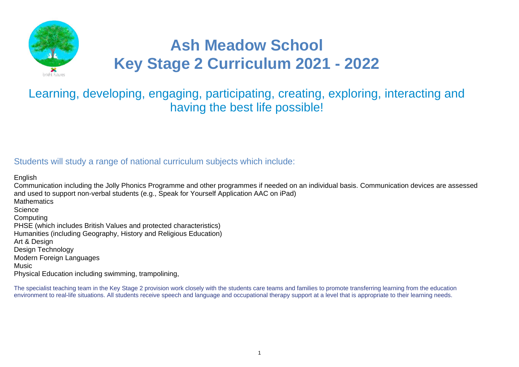

# **Ash Meadow School Key Stage 2 Curriculum 2021 - 2022**

# Learning, developing, engaging, participating, creating, exploring, interacting and having the best life possible!

# Students will study a range of national curriculum subjects which include:

English Communication including the Jolly Phonics Programme and other programmes if needed on an individual basis. Communication devices are assessed and used to support non-verbal students (e.g., Speak for Yourself Application AAC on iPad) **Mathematics Science Computing** PHSE (which includes British Values and protected characteristics) Humanities (including Geography, History and Religious Education) Art & Design Design Technology Modern Foreign Languages **Music** Physical Education including swimming, trampolining,

The specialist teaching team in the Key Stage 2 provision work closely with the students care teams and families to promote transferring learning from the education environment to real-life situations. All students receive speech and language and occupational therapy support at a level that is appropriate to their learning needs.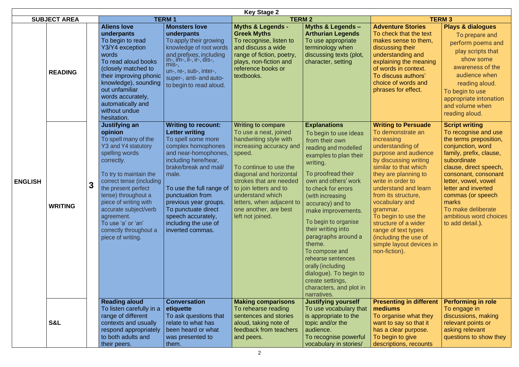|                |                     | <b>Key Stage 2</b>                                                                                                                                                                                                                                                                                                                               |                                                                                                                                                                                                                                                                                                                                                     |                                                                                                                                                                                                                                                                                                                           |                                                                                                                                                                                                                                                                                                                                                                                                                                                                                                     |                                                                                                                                                                                                                                                                                                                                                                                                                                   |                                                                                                                                                                                                                                                                                                                                           |  |  |  |
|----------------|---------------------|--------------------------------------------------------------------------------------------------------------------------------------------------------------------------------------------------------------------------------------------------------------------------------------------------------------------------------------------------|-----------------------------------------------------------------------------------------------------------------------------------------------------------------------------------------------------------------------------------------------------------------------------------------------------------------------------------------------------|---------------------------------------------------------------------------------------------------------------------------------------------------------------------------------------------------------------------------------------------------------------------------------------------------------------------------|-----------------------------------------------------------------------------------------------------------------------------------------------------------------------------------------------------------------------------------------------------------------------------------------------------------------------------------------------------------------------------------------------------------------------------------------------------------------------------------------------------|-----------------------------------------------------------------------------------------------------------------------------------------------------------------------------------------------------------------------------------------------------------------------------------------------------------------------------------------------------------------------------------------------------------------------------------|-------------------------------------------------------------------------------------------------------------------------------------------------------------------------------------------------------------------------------------------------------------------------------------------------------------------------------------------|--|--|--|
|                | <b>SUBJECT AREA</b> |                                                                                                                                                                                                                                                                                                                                                  | <b>TERM1</b>                                                                                                                                                                                                                                                                                                                                        | <b>TERM2</b>                                                                                                                                                                                                                                                                                                              |                                                                                                                                                                                                                                                                                                                                                                                                                                                                                                     |                                                                                                                                                                                                                                                                                                                                                                                                                                   | <b>TERM 3</b>                                                                                                                                                                                                                                                                                                                             |  |  |  |
|                | <b>READING</b>      | <b>Aliens love</b><br>underpants<br>To begin to read<br>Y3/Y4 exception<br>words<br>To read aloud books<br>(closely matched to<br>their improving phonic<br>knowledge), sounding<br>out unfamiliar<br>words accurately,<br>automatically and<br>without undue<br>hesitation.                                                                     | <b>Monsters love</b><br>underpants<br>To apply their growing<br>knowledge of root words<br>and prefixes, including<br>l in-, im-, il-, ir-, dis-,<br>mis-,<br>un-, re-, sub-, inter-,<br>super-, anti- and auto-<br>to begin to read aloud.                                                                                                         | <b>Myths &amp; Legends -</b><br><b>Greek Myths</b><br>To recognise, listen to<br>and discuss a wide<br>range of fiction, poetry,<br>plays, non-fiction and<br>reference books or<br>textbooks.                                                                                                                            | <b>Myths &amp; Legends -</b><br><b>Arthurian Legends</b><br>To use appropriate<br>terminology when<br>discussing texts (plot,<br>character, setting                                                                                                                                                                                                                                                                                                                                                 | <b>Adventure Stories</b><br>To check that the text<br>makes sense to them,<br>discussing their<br>understanding and<br>explaining the meaning<br>of words in context.<br>To discuss authors'<br>choice of words and<br>phrases for effect.                                                                                                                                                                                        | <b>Plays &amp; dialogues</b><br>To prepare and<br>perform poems and<br>play scripts that<br>show some<br>awareness of the<br>audience when<br>reading aloud.<br>To begin to use<br>appropriate intonation<br>and volume when<br>reading aloud.                                                                                            |  |  |  |
| <b>ENGLISH</b> | <b>WRITING</b>      | Justifying an<br>opinion<br>To spell many of the<br>Y3 and Y4 statutory<br>spelling words<br>correctly.<br>To try to maintain the<br>correct tense (including<br>the present perfect<br>tense) throughout a<br>piece of writing with<br>accurate subject/verb<br>agreement.<br>To use 'a' or 'an'<br>correctly throughout a<br>piece of writing. | <b>Writing to recount:</b><br><b>Letter writing</b><br>To spell some more<br>complex homophones<br>and near-homophones,<br>including here/hear,<br>brake/break and mail/<br>male.<br>To use the full range of<br>punctuation from<br>previous year groups.<br>To punctuate direct<br>speech accurately,<br>including the use of<br>inverted commas. | <b>Writing to compare</b><br>To use a neat, joined<br>handwriting style with<br>increasing accuracy and<br>speed.<br>To continue to use the<br>diagonal and horizontal<br>strokes that are needed<br>to join letters and to<br>understand which<br>letters, when adjacent to<br>one another, are best<br>left not joined. | <b>Explanations</b><br>To begin to use ideas<br>from their own<br>reading and modelled<br>examples to plan their<br>writing.<br>To proofread their<br>own and others' work<br>to check for errors<br>(with increasing<br>accuracy) and to<br>make improvements.<br>To begin to organise<br>their writing into<br>paragraphs around a<br>theme.<br>To compose and<br>rehearse sentences<br>orally (including<br>dialogue). To begin to<br>create settings,<br>characters, and plot in<br>narratives. | <b>Writing to Persuade</b><br>To demonstrate an<br>increasing<br>understanding of<br>purpose and audience<br>by discussing writing<br>similar to that which<br>they are planning to<br>write in order to<br>understand and learn<br>from its structure,<br>vocabulary and<br>grammar.<br>To begin to use the<br>structure of a wider<br>range of text types<br>(including the use of<br>simple layout devices in<br>non-fiction). | <b>Script writing</b><br>To recognise and use<br>the terms preposition,<br>conjunction, word<br>family, prefix, clause,<br>subordinate<br>clause, direct speech,<br>consonant, consonant<br>letter, vowel, vowel<br>letter and inverted<br>commas (or speech<br>marks<br>To make deliberate<br>ambitious word choices<br>to add detail.). |  |  |  |
|                | <b>S&amp;L</b>      | <b>Reading aloud</b><br>To listen carefully in a<br>range of different<br>contexts and usually<br>respond appropriately<br>to both adults and<br>their peers.                                                                                                                                                                                    | <b>Conversation</b><br>etiquette<br>To ask questions that<br>relate to what has<br>been heard or what<br>was presented to<br>them.                                                                                                                                                                                                                  | <b>Making comparisons</b><br>To rehearse reading<br>sentences and stories<br>aloud, taking note of<br>feedback from teachers<br>and peers.                                                                                                                                                                                | <b>Justifying yourself</b><br>To use vocabulary that<br>is appropriate to the<br>topic and/or the<br>audience.<br>To recognise powerful<br>vocabulary in stories/                                                                                                                                                                                                                                                                                                                                   | <b>Presenting in different</b><br>mediums<br>To organise what they<br>want to say so that it<br>has a clear purpose.<br>To begin to give<br>descriptions, recounts                                                                                                                                                                                                                                                                | <b>Performing in role</b><br>To engage in<br>discussions, making<br>relevant points or<br>asking relevant<br>questions to show they                                                                                                                                                                                                       |  |  |  |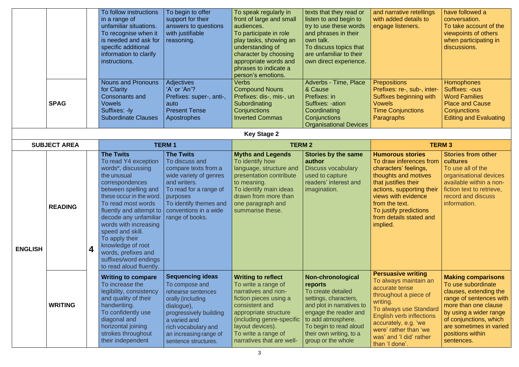|                |                     |   | To follow instructions<br>in a range of<br>unfamiliar situations.<br>To recognise when it<br>is needed and ask for<br>specific additional<br>information to clarify<br>instructions.<br><b>Nouns and Pronouns</b><br>for Clarity<br><b>Consonants and</b>                                                                                                                                     | To begin to offer<br>support for their<br>answers to questions<br>with justifiable<br>reasoning.<br><b>Adjectives</b><br>'A' or 'An'?<br>Prefixes: super-, anti-,                                                     | To speak regularly in<br>front of large and small<br>audiences.<br>To participate in role<br>play tasks, showing an<br>understanding of<br>character by choosing<br>appropriate words and<br>phrases to indicate a<br>person's emotions.<br><b>Verbs</b><br><b>Compound Nouns</b><br>Prefixes: dis-, mis-, un | texts that they read or<br>listen to and begin to<br>try to use these words<br>and phrases in their<br>own talk.<br>To discuss topics that<br>are unfamiliar to their<br>own direct experience.<br>Adverbs - Time, Place<br>& Cause<br>Prefixes: in | and narrative retellings<br>with added details to<br>engage listeners.<br><b>Prepositions</b><br>Prefixes: re-, sub-, inter-<br>Suffixes beginning with                                                                                                              | have followed a<br>conversation.<br>To take account of the<br>viewpoints of others<br>when participating in<br>discussions.<br>Homophones<br>Suffixes: -ous<br><b>Word Families</b>                                                           |
|----------------|---------------------|---|-----------------------------------------------------------------------------------------------------------------------------------------------------------------------------------------------------------------------------------------------------------------------------------------------------------------------------------------------------------------------------------------------|-----------------------------------------------------------------------------------------------------------------------------------------------------------------------------------------------------------------------|---------------------------------------------------------------------------------------------------------------------------------------------------------------------------------------------------------------------------------------------------------------------------------------------------------------|-----------------------------------------------------------------------------------------------------------------------------------------------------------------------------------------------------------------------------------------------------|----------------------------------------------------------------------------------------------------------------------------------------------------------------------------------------------------------------------------------------------------------------------|-----------------------------------------------------------------------------------------------------------------------------------------------------------------------------------------------------------------------------------------------|
|                | <b>SPAG</b>         |   | <b>Vowels</b>                                                                                                                                                                                                                                                                                                                                                                                 | auto<br><b>Present Tense</b>                                                                                                                                                                                          | Subordinating                                                                                                                                                                                                                                                                                                 | Suffixes: -ation                                                                                                                                                                                                                                    | <b>Vowels</b>                                                                                                                                                                                                                                                        | <b>Place and Cause</b>                                                                                                                                                                                                                        |
|                |                     |   | Suffixes: -ly<br><b>Subordinate Clauses</b>                                                                                                                                                                                                                                                                                                                                                   | Apostrophes                                                                                                                                                                                                           | Conjunctions<br><b>Inverted Commas</b>                                                                                                                                                                                                                                                                        | Coordinating<br>Conjunctions                                                                                                                                                                                                                        | <b>Time Conjunctions</b><br>Paragraphs                                                                                                                                                                                                                               | Conjunctions<br><b>Editing and Evaluating</b>                                                                                                                                                                                                 |
|                |                     |   |                                                                                                                                                                                                                                                                                                                                                                                               |                                                                                                                                                                                                                       | <b>Key Stage 2</b>                                                                                                                                                                                                                                                                                            | <b>Organisational Devices</b>                                                                                                                                                                                                                       |                                                                                                                                                                                                                                                                      |                                                                                                                                                                                                                                               |
|                | <b>SUBJECT AREA</b> |   |                                                                                                                                                                                                                                                                                                                                                                                               | <b>TERM1</b>                                                                                                                                                                                                          | <b>TERM 2</b>                                                                                                                                                                                                                                                                                                 |                                                                                                                                                                                                                                                     |                                                                                                                                                                                                                                                                      | <b>TERM3</b>                                                                                                                                                                                                                                  |
| <b>ENGLISH</b> | <b>READING</b>      | 4 | <b>The Twits</b><br>To read Y4 exception<br>words*, discussing<br>the unusual<br>correspondences<br>between spelling and<br>these occur in the word.<br>To read most words<br>fluently and attempt to<br>decode any unfamiliar<br>words with increasing<br>speed and skill.<br>To apply their<br>knowledge of root<br>words, prefixes and<br>suffixes/word endings<br>to read aloud fluently. | <b>The Twits</b><br>To discuss and<br>compare texts from a<br>wide variety of genres<br>and writers.<br>To read for a range of<br>purposes<br>To identify themes and<br>conventions in a wide<br>range of books.      | <b>Myths and Legends</b><br>To identify how<br>language, structure and<br>presentation contribute<br>to meaning.<br>To identify main ideas<br>drawn from more than<br>one paragraph and<br>summarise these.                                                                                                   | <b>Stories by the same</b><br>author<br><b>Discuss vocabulary</b><br>used to capture<br>readers' interest and<br>imagination.                                                                                                                       | <b>Humorous stories</b><br>To draw inferences from<br>characters' feelings,<br>thoughts and motives<br>that justifies their<br>actions, supporting their<br>views with evidence<br>from the text.<br>To justify predictions<br>from details stated and<br>implied.   | <b>Stories from other</b><br>cultures<br>To use all of the<br>organisational devices<br>available within a non-<br>fiction text to retrieve,<br>record and discuss<br>information.                                                            |
|                | <b>WRITING</b>      |   | <b>Writing to compare</b><br>To increase the<br>legibility, consistency<br>and quality of their<br>handwriting.<br>To confidently use<br>diagonal and<br>horizontal joining<br>strokes throughout<br>their independent                                                                                                                                                                        | <b>Sequencing ideas</b><br>To compose and<br>rehearse sentences<br>orally (including<br>dialogue),<br>progressively building<br>a varied and<br>rich vocabulary and<br>an increasing range of<br>sentence structures. | <b>Writing to reflect</b><br>To write a range of<br>narratives and non-<br>fiction pieces using a<br>consistent and<br>appropriate structure<br>(including genre-specific<br>layout devices).<br>To write a range of<br>narratives that are well-                                                             | Non-chronological<br>reports<br>To create detailed<br>settings, characters,<br>and plot in narratives to<br>engage the reader and<br>to add atmosphere.<br>To begin to read aloud<br>their own writing, to a<br>group or the whole                  | <b>Persuasive writing</b><br>To always maintain an<br>accurate tense<br>throughout a piece of<br>writing.<br>To always use Standard<br><b>English verb inflections</b><br>accurately, e.g. 'we<br>were' rather than 'we<br>was' and 'I did' rather<br>than 'I done'. | <b>Making comparisons</b><br>To use subordinate<br>clauses, extending the<br>range of sentences with<br>more than one clause<br>by using a wider range<br>of conjunctions, which<br>are sometimes in varied<br>positions within<br>sentences. |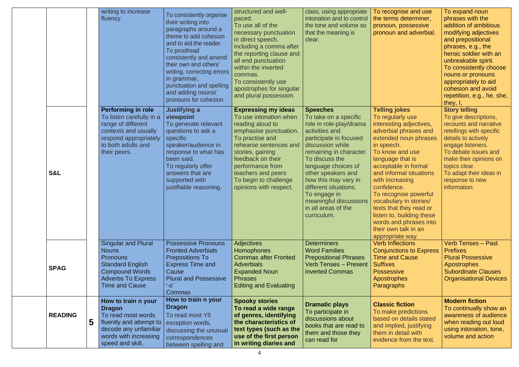|                |   | writing to increase<br>fluency.                                                                                                                                         | To consistently organise<br>their writing into<br>paragraphs around a<br>theme to add cohesion<br>and to aid the reader.<br>To proofread<br>consistently and amend<br>their own and others'<br>writing, correcting errors<br>in grammar,<br>punctuation and spelling<br>and adding nouns/<br>pronouns for cohesion | structured and well-<br>paced.<br>To use all of the<br>necessary punctuation<br>in direct speech,<br>including a comma after<br>the reporting clause and<br>all end punctuation<br>within the inverted<br>commas.<br>To consistently use<br>apostrophes for singular<br>and plural possession. | class, using appropriate<br>intonation and to control<br>the tone and volume so<br>that the meaning is<br>clear.                                                                                                                                                                                                                                                                        | To recognise and use<br>the terms determiner,<br>pronoun, possessive<br>pronoun and adverbial.                                                                                                                                                                                                                                                                                                                         | To expand noun<br>phrases with the<br>addition of ambitious<br>modifying adjectives<br>and prepositional<br>phrases, e.g., the<br>heroic soldier with an<br>unbreakable spirit.<br>To consistently choose<br>nouns or pronouns<br>appropriately to aid<br>cohesion and avoid<br>repetition, e.g., he, she,<br>they, $I,$ |
|----------------|---|-------------------------------------------------------------------------------------------------------------------------------------------------------------------------|--------------------------------------------------------------------------------------------------------------------------------------------------------------------------------------------------------------------------------------------------------------------------------------------------------------------|------------------------------------------------------------------------------------------------------------------------------------------------------------------------------------------------------------------------------------------------------------------------------------------------|-----------------------------------------------------------------------------------------------------------------------------------------------------------------------------------------------------------------------------------------------------------------------------------------------------------------------------------------------------------------------------------------|------------------------------------------------------------------------------------------------------------------------------------------------------------------------------------------------------------------------------------------------------------------------------------------------------------------------------------------------------------------------------------------------------------------------|--------------------------------------------------------------------------------------------------------------------------------------------------------------------------------------------------------------------------------------------------------------------------------------------------------------------------|
| <b>S&amp;L</b> |   | <b>Performing in role</b><br>To listen carefully in a<br>range of different<br>contexts and usually<br>respond appropriately<br>to both adults and<br>their peers.      | <b>Justifying a</b><br>viewpoint<br>To generate relevant<br>questions to ask a<br>specific<br>speaker/audience in<br>response to what has<br>been said.<br>To regularly offer<br>answers that are<br>supported with<br>justifiable reasoning.                                                                      | <b>Expressing my ideas</b><br>To use intonation when<br>reading aloud to<br>emphasise punctuation.<br>To practise and<br>rehearse sentences and<br>stories, gaining<br>feedback on their<br>performance from<br>teachers and peers<br>To begin to challenge<br>opinions with respect.          | <b>Speeches</b><br>To take on a specific<br>role in role-play/drama<br>activities and<br>participate in focused<br>discussion while<br>remaining in character.<br>To discuss the<br>language choices of<br>other speakers and<br>how this may vary in<br>different situations.<br>To engage in<br>meaningful discussions   vocabulary in stories/<br>in all areas of the<br>curriculum. | <b>Telling jokes</b><br>To regularly use<br>interesting adjectives,<br>adverbial phrases and<br>extended noun phrases<br>in speech.<br>To know and use<br>language that is<br>acceptable in formal<br>and informal situations<br>with increasing<br>confidence.<br>To recognise powerful<br>texts that they read or<br>listen to, building these<br>words and phrases into<br>their own talk in an<br>appropriate way. | <b>Story telling</b><br>To give descriptions,<br>recounts and narrative<br>retellings with specific<br>details to actively<br>engage listeners.<br>To debate issues and<br>make their opinions on<br>topics clear.<br>To adapt their ideas in<br>response to new<br>information.                                         |
| <b>SPAG</b>    |   | <b>Singular and Plural</b><br><b>Nouns</b><br><b>Pronouns</b><br><b>Standard English</b><br><b>Compound Words</b><br><b>Adverbs To Express</b><br><b>Time and Cause</b> | <b>Possessive Pronouns</b><br><b>Fronted Adverbials</b><br><b>Prepositions To</b><br><b>Express Time and</b><br>Cause<br><b>Plural and Possessive</b><br>$'s$ -s'<br><b>Commas</b>                                                                                                                                 | Adjectives<br>Homophones<br><b>Commas after Fronted</b><br><b>Adverbials</b><br><b>Expanded Noun</b><br><b>Phrases</b><br><b>Editing and Evaluating</b>                                                                                                                                        | <b>Determiners</b><br><b>Word Families</b><br><b>Prepositional Phrases</b><br><b>Verb Tenses - Present</b><br>inverted Commas                                                                                                                                                                                                                                                           | <b>Verb Inflections</b><br><b>Conjunctions to Express</b><br><b>Time and Cause</b><br><b>Suffixes</b><br><b>Possessive</b><br><b>Apostrophes</b><br><b>Paragraphs</b>                                                                                                                                                                                                                                                  | <b>Verb Tenses - Past</b><br><b>Prefixes</b><br><b>Plural Possessive</b><br><b>Apostrophes</b><br><b>Subordinate Clauses</b><br><b>Organisational Devices</b>                                                                                                                                                            |
| <b>READING</b> | 5 | How to train n your<br><b>Dragon</b><br>To read most words<br>fluently and attempt to<br>decode any unfamiliar<br>words with increasing<br>speed and skill,             | How to train n your<br><b>Dragon</b><br>To read most Y5<br>exception words,<br>discussing the unusual<br>correspondences<br>between spelling and                                                                                                                                                                   | <b>Spooky stories</b><br>To read a wide range<br>of genres, identifying<br>the characteristics of<br>text types (such as the<br>use of the first person<br>in writing diaries and                                                                                                              | <b>Dramatic plays</b><br>To participate in<br>discussions about<br>books that are read to<br>them and those they<br>can read for                                                                                                                                                                                                                                                        | <b>Classic fiction</b><br>To make predictions<br>based on details stated<br>and implied, justifying<br>them in detail with<br>evidence from the text.                                                                                                                                                                                                                                                                  | <b>Modern fiction</b><br>To continually show an<br>awareness of audience<br>when reading out loud<br>using intonation, tone,<br>volume and action                                                                                                                                                                        |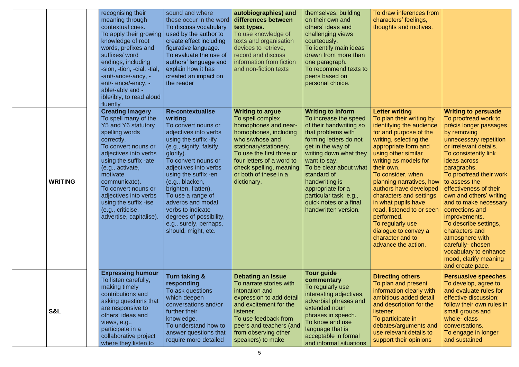|                | recognising their<br>meaning through<br>contextual cues.<br>To apply their growing<br>knowledge of root<br>words, prefixes and<br>suffixes/ word<br>endings, including<br>-sion, -tion, -cial, -tial,<br>-ant/-ance/-ancy, -<br>ent/- ence/-ency, -<br>able/-ably and -<br>ible/ibly, to read aloud<br>fluently                                           | sound and where<br>these occur in the word<br>To discuss vocabulary<br>used by the author to<br>create effect including<br>figurative language.<br>To evaluate the use of<br>authors' language and<br>explain how it has<br>created an impact on<br>the reader                                                                                                                                                    | autobiographies) and<br>differences between<br>text types.<br>To use knowledge of<br>texts and organisation<br>devices to retrieve,<br>record and discuss<br>information from fiction<br>and non-fiction texts                                                         | themselves, building<br>on their own and<br>others' ideas and<br>challenging views<br>courteously.<br>To identify main ideas<br>drawn from more than<br>one paragraph.<br>To recommend texts to<br>peers based on<br>personal choice.                                                                                                                   | To draw inferences from<br>characters' feelings,<br>thoughts and motives.                                                                                                                                                                                                                                                                                                                                                                                                              |                                                                                                                                                                                                                                                                                                                                                                                                                                                                                                                              |
|----------------|-----------------------------------------------------------------------------------------------------------------------------------------------------------------------------------------------------------------------------------------------------------------------------------------------------------------------------------------------------------|-------------------------------------------------------------------------------------------------------------------------------------------------------------------------------------------------------------------------------------------------------------------------------------------------------------------------------------------------------------------------------------------------------------------|------------------------------------------------------------------------------------------------------------------------------------------------------------------------------------------------------------------------------------------------------------------------|---------------------------------------------------------------------------------------------------------------------------------------------------------------------------------------------------------------------------------------------------------------------------------------------------------------------------------------------------------|----------------------------------------------------------------------------------------------------------------------------------------------------------------------------------------------------------------------------------------------------------------------------------------------------------------------------------------------------------------------------------------------------------------------------------------------------------------------------------------|------------------------------------------------------------------------------------------------------------------------------------------------------------------------------------------------------------------------------------------------------------------------------------------------------------------------------------------------------------------------------------------------------------------------------------------------------------------------------------------------------------------------------|
| <b>WRITING</b> | <b>Creating Imagery</b><br>To spell many of the<br>Y5 and Y6 statutory<br>spelling words<br>correctly.<br>To convert nouns or<br>adjectives into verbs<br>using the suffix -ate<br>(e.g., activate,<br>motivate<br>communicate).<br>To convert nouns or<br>adjectives into verbs<br>using the suffix -ise<br>(e.g., criticise,<br>advertise, capitalise). | <b>Re-contextualise</b><br>writing<br>To convert nouns or<br>adjectives into verbs<br>using the suffix -ify<br>(e.g., signify, falsify,<br>glorify).<br>To convert nouns or<br>adjectives into verbs<br>using the suffix -en<br>(e.g., blacken,<br>brighten, flatten).<br>To use a range of<br>adverbs and modal<br>verbs to indicate<br>degrees of possibility,<br>e.g., surely, perhaps,<br>should, might, etc. | <b>Writing to argue</b><br>To spell complex<br>homophones and near-<br>homophones, including<br>who's/whose and<br>stationary/stationery.<br>To use the first three or<br>four letters of a word to<br>check spelling, meaning<br>or both of these in a<br>dictionary. | <b>Writing to inform</b><br>To increase the speed<br>of their handwriting so<br>that problems with<br>forming letters do not<br>get in the way of<br>writing down what they<br>want to say.<br>To be clear about what<br>standard of<br>handwriting is<br>appropriate for a<br>particular task, e.g.,<br>quick notes or a final<br>handwritten version. | <b>Letter writing</b><br>To plan their writing by<br>identifying the audience<br>for and purpose of the<br>writing, selecting the<br>appropriate form and<br>using other similar<br>writing as models for<br>their own.<br>To consider, when<br>planning narratives, how<br>authors have developed<br>characters and settings<br>in what pupils have<br>read, listened to or seen<br>performed.<br>To regularly use<br>dialogue to convey a<br>character and to<br>advance the action. | <b>Writing to persuade</b><br>To proofread work to<br>précis longer passages<br>by removing<br>unnecessary repetition<br>or irrelevant details.<br>To consistently link<br>ideas across<br>paragraphs.<br>To proofread their work<br>to assess the<br>effectiveness of their<br>own and others' writing<br>and to make necessary<br>corrections and<br>improvements.<br>To describe settings,<br>characters and<br>atmosphere with<br>carefully-chosen<br>vocabulary to enhance<br>mood, clarify meaning<br>and create pace. |
| <b>S&amp;L</b> | <b>Expressing humour</b><br>To listen carefully,<br>making timely<br>contributions and<br>asking questions that<br>are responsive to<br>others' ideas and<br>views, e.g.,<br>participate in a<br>collaborative project<br>where they listen to                                                                                                            | <b>Turn taking &amp;</b><br>responding<br>To ask questions<br>which deepen<br>conversations and/or<br>further their<br>knowledge.<br>To understand how to<br>answer questions that<br>require more detailed                                                                                                                                                                                                       | <b>Debating an issue</b><br>To narrate stories with<br>intonation and<br>expression to add detail<br>and excitement for the<br>listener.<br>To use feedback from<br>peers and teachers (and<br>from observing other<br>speakers) to make                               | <b>Tour guide</b><br>commentary<br>To regularly use<br>interesting adjectives,<br>adverbial phrases and<br>extended noun<br>phrases in speech.<br>To know and use<br>language that is<br>acceptable in formal<br>and informal situations                                                                                                                | <b>Directing others</b><br>To plan and present<br>information clearly with<br>ambitious added detail<br>and description for the<br>listener.<br>To participate in<br>debates/arguments and<br>use relevant details to<br>support their opinions                                                                                                                                                                                                                                        | <b>Persuasive speeches</b><br>To develop, agree to<br>and evaluate rules for<br>effective discussion;<br>follow their own rules in<br>small groups and<br>whole-class<br>conversations.<br>To engage in longer<br>and sustained                                                                                                                                                                                                                                                                                              |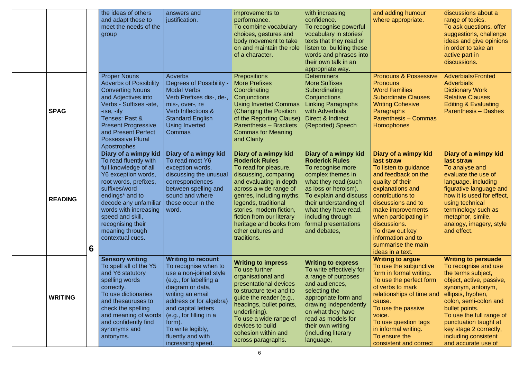|                |   | the ideas of others<br>and adapt these to<br>meet the needs of the<br>group                                                                                                                                                                                                                                                         | answers and<br>justification.                                                                                                                                                                                                                                                                       | improvements to<br>performance.<br>To combine vocabulary<br>choices, gestures and<br>body movement to take<br>on and maintain the role<br>of a character.                                                                                                                                                                         | with increasing<br>confidence.<br>To recognise powerful<br>vocabulary in stories/<br>texts that they read or<br>listen to, building these<br>words and phrases into<br>their own talk in an<br>appropriate way.                                                                  | and adding humour<br>where appropriate.                                                                                                                                                                                                                                                                               | discussions about a<br>range of topics.<br>To ask questions, offer<br>suggestions, challenge<br>ideas and give opinions<br>in order to take an<br>active part in<br>discussions.                                                                                                                                        |
|----------------|---|-------------------------------------------------------------------------------------------------------------------------------------------------------------------------------------------------------------------------------------------------------------------------------------------------------------------------------------|-----------------------------------------------------------------------------------------------------------------------------------------------------------------------------------------------------------------------------------------------------------------------------------------------------|-----------------------------------------------------------------------------------------------------------------------------------------------------------------------------------------------------------------------------------------------------------------------------------------------------------------------------------|----------------------------------------------------------------------------------------------------------------------------------------------------------------------------------------------------------------------------------------------------------------------------------|-----------------------------------------------------------------------------------------------------------------------------------------------------------------------------------------------------------------------------------------------------------------------------------------------------------------------|-------------------------------------------------------------------------------------------------------------------------------------------------------------------------------------------------------------------------------------------------------------------------------------------------------------------------|
| <b>SPAG</b>    |   | <b>Proper Nouns</b><br><b>Adverbs of Possibility</b><br><b>Converting Nouns</b><br>and Adjectives into<br>Verbs - Suffixes -ate,<br>$-$ ise, $-$ ify<br><b>Tenses: Past &amp;</b><br><b>Present Progressive</b><br>and Present Perfect<br><b>Possessive Plural</b><br>Apostrophes                                                   | <b>Adverbs</b><br><b>Degrees of Possibility</b><br><b>Modal Verbs</b><br>Verb Prefixes dis-, de-,<br>mis-, over-, re<br>Verb Inflections &<br><b>Standard English</b><br><b>Using Inverted</b><br>Commas                                                                                            | <b>Prepositions</b><br><b>More Prefixes</b><br>Coordinating<br>Conjunctions<br><b>Using Inverted Commas</b><br><b>(Changing the Position</b><br>of the Reporting Clause)<br><b>Parenthesis - Brackets</b><br><b>Commas for Meaning</b><br>and Clarity                                                                             | <b>Determiners</b><br><b>More Suffixes</b><br>Subordinating<br>Conjunctions<br><b>Linking Paragraphs</b><br>with Adverbials<br>Direct & Indirect<br>(Reported) Speech                                                                                                            | <b>Pronouns &amp; Possessive</b><br><b>Pronouns</b><br><b>Word Families</b><br><b>Subordinate Clauses</b><br><b>Writing Cohesive</b><br><b>Paragraphs</b><br><b>Parenthesis – Commas</b><br>Homophones                                                                                                                | <b>Adverbials/Fronted</b><br><b>Adverbials</b><br><b>Dictionary Work</b><br><b>Relative Clauses</b><br><b>Editing &amp; Evaluating</b><br><b>Parenthesis - Dashes</b>                                                                                                                                                   |
| <b>READING</b> | 6 | Diary of a wimpy kid<br>To read fluently with<br>full knowledge of all<br>Y6 exception words,<br>root words, prefixes,<br>suffixes/word<br>endings <sup>*</sup> and to<br>decode any unfamiliar $\vert$ these occur in the<br>words with increasing<br>speed and skill,<br>recognising their<br>meaning through<br>contextual cues. | Diary of a wimpy kid<br>To read most Y6<br>exception words,<br>discussing the unusual<br>correspondences<br>between spelling and<br>sound and where<br>word.                                                                                                                                        | Diary of a wimpy kid<br><b>Roderick Rules</b><br>To read for pleasure,<br>discussing, comparing<br>and evaluating in depth<br>across a wide range of<br>genres, including myths,<br>legends, traditional<br>stories, modern fiction,<br>fiction from our literary<br>heritage and books from<br>other cultures and<br>traditions. | Diary of a wimpy kid<br><b>Roderick Rules</b><br>To recognise more<br>complex themes in<br>what they read (such<br>as loss or heroism).<br>To explain and discuss<br>their understanding of<br>what they have read,<br>including through<br>formal presentations<br>and debates, | Diary of a wimpy kid<br>last straw<br>To listen to guidance<br>and feedback on the<br>quality of their<br>explanations and<br>contributions to<br>discussions and to<br>make improvements<br>when participating in<br>discussions.<br>To draw out key<br>information and to<br>summarise the main<br>ideas in a text. | Diary of a wimpy kid<br>last straw<br>To analyse and<br>evaluate the use of<br>language, including<br>figurative language and<br>how it is used for effect,<br>using technical<br>terminology such as<br>metaphor, simile,<br>analogy, imagery, style<br>and effect.                                                    |
| <b>WRITING</b> |   | <b>Sensory writing</b><br>To spell all of the Y5<br>and Y6 statutory<br>spelling words<br>correctly.<br>To use dictionaries<br>and thesauruses to<br>check the spelling<br>and meaning of words<br>and confidently find<br>synonyms and<br>antonyms.                                                                                | <b>Writing to recount</b><br>To recognise when to<br>use a non-joined style<br>(e.g., for labelling a<br>diagram or data,<br>writing an email<br>address or for algebra)<br>and capital letters<br>(e.g., for filling in a<br>form).<br>To write legibly,<br>fluently and with<br>increasing speed. | <b>Writing to impress</b><br>To use further<br>organisational and<br>presentational devices<br>to structure text and to<br>guide the reader (e.g.,<br>headings, bullet points,<br>underlining).<br>To use a wide range of<br>devices to build<br>cohesion within and<br>across paragraphs.                                        | <b>Writing to express</b><br>To write effectively for<br>a range of purposes<br>and audiences,<br>selecting the<br>appropriate form and<br>drawing independently<br>on what they have<br>read as models for<br>their own writing<br>(including literary<br>language,             | <b>Writing to argue</b><br>To use the subjunctive<br>form in formal writing.<br>To use the perfect form<br>of verbs to mark<br>relationships of time and<br>cause.<br>To use the passive<br>voice.<br>To use question tags<br>in informal writing.<br>To ensure the<br>consistent and correct                         | <b>Writing to persuade</b><br>To recognise and use<br>the terms subject,<br>object, active, passive,<br>synonym, antonym,<br>ellipsis, hyphen,<br>colon, semi-colon and<br>bullet points.<br>To use the full range of<br>punctuation taught at<br>key stage 2 correctly,<br>including consistent<br>and accurate use of |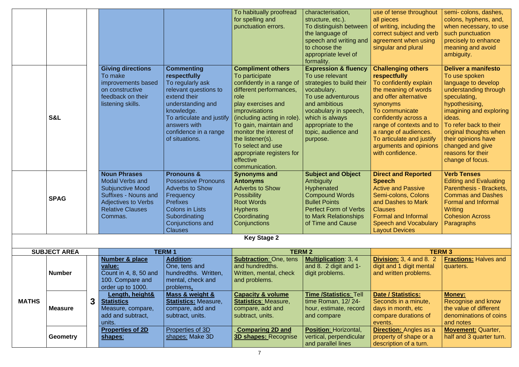|              |                     |   |                             |                             | To habitually proofread       | characterisation,               | use of tense throughout         | semi- colons, dashes,         |
|--------------|---------------------|---|-----------------------------|-----------------------------|-------------------------------|---------------------------------|---------------------------------|-------------------------------|
|              |                     |   |                             |                             | for spelling and              | structure, etc.).               | all pieces                      | colons, hyphens, and,         |
|              |                     |   |                             |                             | punctuation errors.           | To distinguish between          | of writing, including the       | when necessary, to use        |
|              |                     |   |                             |                             |                               | the language of                 | correct subject and verb        | such punctuation              |
|              |                     |   |                             |                             |                               | speech and writing and          | agreement when using            | precisely to enhance          |
|              |                     |   |                             |                             |                               | to choose the                   | singular and plural             | meaning and avoid             |
|              |                     |   |                             |                             |                               | appropriate level of            |                                 | ambiguity.                    |
|              |                     |   |                             |                             |                               | formality.                      |                                 |                               |
|              |                     |   | <b>Giving directions</b>    | <b>Commenting</b>           | <b>Compliment others</b>      | <b>Expression &amp; fluency</b> | <b>Challenging others</b>       | <b>Deliver a manifesto</b>    |
|              |                     |   | To make                     | respectfully                | To participate                | To use relevant                 | respectfully                    | To use spoken                 |
|              |                     |   | improvements based          | To regularly ask            | confidently in a range of     | strategies to build their       | To confidently explain          | language to develop           |
|              |                     |   | on constructive             | relevant questions to       | different performances,       | vocabulary.                     | the meaning of words            | understanding through         |
|              |                     |   | feedback on their           | extend their                | role                          | To use adventurous              | and offer alternative           | speculating,                  |
|              |                     |   | listening skills.           | understanding and           | play exercises and            | and ambitious                   | synonyms                        | hypothesising,                |
|              |                     |   |                             | knowledge.                  | <i>improvisations</i>         | vocabulary in speech,           | To communicate                  | imagining and exploring       |
|              | <b>S&amp;L</b>      |   |                             | To articulate and justify   | (including acting in role).   | which is always                 | confidently across a            | ideas.                        |
|              |                     |   |                             | answers with                | To gain, maintain and         | appropriate to the              | range of contexts and to        | To refer back to their        |
|              |                     |   |                             | confidence in a range       | monitor the interest of       | topic, audience and             | a range of audiences.           | original thoughts when        |
|              |                     |   |                             | of situations.              | the listener(s).              | purpose.                        | To articulate and justify       | their opinions have           |
|              |                     |   |                             |                             | To select and use             |                                 | arguments and opinions          | changed and give              |
|              |                     |   |                             |                             | appropriate registers for     |                                 | with confidence.                | reasons for their             |
|              |                     |   |                             |                             | effective                     |                                 |                                 | change of focus.              |
|              |                     |   |                             |                             | communication.                |                                 |                                 |                               |
|              |                     |   | <b>Noun Phrases</b>         | <b>Pronouns &amp;</b>       | <b>Synonyms and</b>           | <b>Subject and Object</b>       | <b>Direct and Reported</b>      | <b>Verb Tenses</b>            |
|              |                     |   | <b>Modal Verbs and</b>      | <b>Possessive Pronouns</b>  | <b>Antonyms</b>               | <b>Ambiguity</b>                | <b>Speech</b>                   | <b>Editing and Evaluating</b> |
|              |                     |   | <b>Subjunctive Mood</b>     | <b>Adverbs to Show</b>      | <b>Adverbs to Show</b>        | Hyphenated                      | <b>Active and Passive</b>       | Parenthesis - Brackets,       |
|              |                     |   | <b>Suffixes - Nouns and</b> | Frequency                   | <b>Possibility</b>            | <b>Compound Words</b>           | Semi-colons, Colons             | <b>Commas and Dashes</b>      |
|              | <b>SPAG</b>         |   | <b>Adjectives to Verbs</b>  | <b>Prefixes</b>             | <b>Root Words</b>             | <b>Bullet Points</b>            | and Dashes to Mark              | <b>Formal and Informal</b>    |
|              |                     |   | <b>Relative Clauses</b>     | <b>Colons in Lists</b>      | <b>Hyphens</b>                | <b>Perfect Form of Verbs</b>    | <b>Clauses</b>                  | Writing                       |
|              |                     |   | Commas.                     | Subordinating               | Coordinating                  | to Mark Relationships           | <b>Formal and Informal</b>      | <b>Cohesion Across</b>        |
|              |                     |   |                             | Conjunctions and            | Conjunctions                  | of Time and Cause               | <b>Speech and Vocabulary</b>    | <b>Paragraphs</b>             |
|              |                     |   |                             | <b>Clauses</b>              |                               |                                 | <b>Layout Devices</b>           |                               |
|              |                     |   |                             |                             | <b>Key Stage 2</b>            |                                 |                                 |                               |
|              |                     |   |                             |                             |                               |                                 |                                 |                               |
|              | <b>SUBJECT AREA</b> |   |                             | <b>TERM1</b>                | <b>TERM 2</b>                 |                                 |                                 | <b>TERM3</b>                  |
|              |                     |   | <b>Number &amp; place</b>   | <b>Addition:</b>            | <b>Subtraction: One, tens</b> | <b>Multiplication: 3, 4</b>     | <b>Division: 3, 4 and 8. 2.</b> | <b>Fractions:</b> Halves and  |
|              |                     |   | value:                      | One, tens and               | and hundredths.               | and 8. $2$ digit and 1-         | digit and 1 digit mental        | quarters.                     |
|              | <b>Number</b>       |   | Count in 4, 8, 50 and       | hundredths. Written,        | Written, mental, check        | digit problems.                 | and written problems.           |                               |
|              |                     |   | 100. Compare and            | mental, check and           | and problems.                 |                                 |                                 |                               |
|              |                     |   | order up to 1000.           | problems.                   |                               |                                 |                                 |                               |
|              |                     |   | Length, height&             | Mass & weight &             | <b>Capacity &amp; volume</b>  | Time /Statistics: Tell          | Date / Statistics:              | <b>Money:</b>                 |
| <b>MATHS</b> |                     | 3 | <b>Statistics</b>           | <b>Statistics: Measure,</b> | <b>Statistics: Measure,</b>   | time Roman, 12/24-              | Seconds in a minute,            | Recognise and know            |
|              | <b>Measure</b>      |   | Measure, compare,           | compare, add and            | compare, add and              | hour, estimate, record          | days in month, etc              | the value of different        |
|              |                     |   | add and subtract,           | subtract, units.            | subtract, units.              | and compare                     | compare durations of            | denominations of coins        |
|              |                     |   | units.                      |                             |                               |                                 | events.                         | and notes                     |
|              |                     |   | <b>Properties of 2D</b>     | <b>Properties of 3D</b>     | <b>Comparing 2D and</b>       | <b>Position: Horizontal,</b>    | <b>Direction:</b> Angles as a   | <b>Movement: Quarter,</b>     |
|              | <b>Geometry</b>     |   | shapes:                     | shapes: Make 3D             | <b>3D shapes: Recognise</b>   | vertical, perpendicular         | property of shape or a          | half and 3 quarter turn.      |
|              |                     |   |                             |                             |                               | and parallel lines              | description of a turn.          |                               |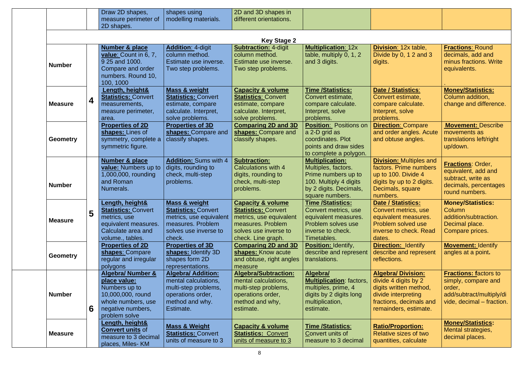|                 |                         | Draw 2D shapes,                                                                                                                                | shapes using                                                                                                                              | 2D and 3D shapes in                                                                                                                                       |                                                                                                                                             |                                                                                                                                                       |                                                                                                                        |
|-----------------|-------------------------|------------------------------------------------------------------------------------------------------------------------------------------------|-------------------------------------------------------------------------------------------------------------------------------------------|-----------------------------------------------------------------------------------------------------------------------------------------------------------|---------------------------------------------------------------------------------------------------------------------------------------------|-------------------------------------------------------------------------------------------------------------------------------------------------------|------------------------------------------------------------------------------------------------------------------------|
|                 |                         | measure perimeter of                                                                                                                           | modelling materials.                                                                                                                      | different orientations.                                                                                                                                   |                                                                                                                                             |                                                                                                                                                       |                                                                                                                        |
|                 |                         | 2D shapes.                                                                                                                                     |                                                                                                                                           |                                                                                                                                                           |                                                                                                                                             |                                                                                                                                                       |                                                                                                                        |
|                 |                         |                                                                                                                                                |                                                                                                                                           | <b>Key Stage 2</b>                                                                                                                                        |                                                                                                                                             |                                                                                                                                                       |                                                                                                                        |
|                 |                         | <b>Number &amp; place</b>                                                                                                                      | <b>Addition: 4-digit</b>                                                                                                                  | <b>Subtraction: 4-digit</b>                                                                                                                               | <b>Multiplication: 12x</b>                                                                                                                  | <b>Division: 12x table,</b>                                                                                                                           | <b>Fractions: Round</b>                                                                                                |
| <b>Number</b>   |                         | value: Count in 6, 7,<br>9 25 and 1000.<br>Compare and order<br>numbers. Round 10,<br>100, 1000                                                | column method.<br>Estimate use inverse.<br>Two step problems.                                                                             | column method.<br>Estimate use inverse.<br>Two step problems.                                                                                             | table, multiply 0, 1, 2<br>and 3 digits.                                                                                                    | Divide by 0, 1 2 and 3<br>digits.                                                                                                                     | decimals, add and<br>minus fractions. Write<br>equivalents.                                                            |
| <b>Measure</b>  | $\overline{\mathbf{4}}$ | Length, height&<br><b>Statistics: Convert</b><br>measurements,<br>measure perimeter,<br>area.                                                  | <b>Mass &amp; weight</b><br><b>Statistics: Convert</b><br>estimate, compare<br>calculate. Interpret,<br>solve problems.                   | <b>Capacity &amp; volume</b><br><b>Statistics: Convert</b><br>estimate, compare<br>calculate. Interpret,<br>solve problems.                               | <b>Time/Statistics:</b><br>Convert estimate,<br>compare calculate.<br>Interpret, solve<br>problems.                                         | <b>Date / Statistics:</b><br>Convert estimate,<br>compare calculate.<br>Interpret, solve<br>problems.                                                 | <b>Money/Statistics:</b><br>Column addition,<br>change and difference.                                                 |
| <b>Geometry</b> |                         | <b>Properties of 2D</b><br>shapes: Lines of<br>symmetry, complete a<br>symmetric figure.                                                       | <b>Properties of 3D</b><br>shapes: Compare and<br>classify shapes.                                                                        | <b>Comparing 2D and 3D</b><br>shapes: Compare and<br>classify shapes.                                                                                     | <b>Position: Positions on</b><br>a 2-D grid as<br>coordinates. Plot<br>points and draw sides<br>to complete a polygon.                      | <b>Direction: Compare</b><br>and order angles. Acute<br>and obtuse angles.                                                                            | <b>Movement: Describe</b><br>movements as<br>translations left/right<br>up/down.                                       |
| <b>Number</b>   |                         | Number & place<br>value: Numbers up to<br>1,000,000, rounding<br>and Roman<br>Numerals.                                                        | <b>Addition: Sums with 4</b><br>digits, rounding to<br>check, multi-step<br>problems.                                                     | <b>Subtraction:</b><br>Calculations with 4<br>digits, rounding to<br>check, multi-step<br>problems.                                                       | <b>Multiplication:</b><br>Multiples, factors.<br>Prime numbers up to<br>100. Multiply 4 digits<br>by 2 digits. Decimals,<br>square numbers. | <b>Division: Multiples and</b><br>factors. Prime numbers<br>up to 100. Divide 4<br>digits by up to 2 digits.<br>Decimals, square<br>numbers.          | <b>Fractions: Order,</b><br>equivalent, add and<br>subtract, write as<br>decimals, percentages<br>round numbers.       |
| <b>Measure</b>  | 5                       | Length, height&<br><b>Statistics: Convert</b><br>metrics, use<br>equivalent measures.<br>Calculate area and<br>volume., tables.                | <b>Mass &amp; weight</b><br><b>Statistics: Convert</b><br>metrics, use equivalent<br>measures. Problem<br>solves use inverse to<br>check. | <b>Capacity &amp; volume</b><br><b>Statistics: Convert</b><br>metrics, use equivalent<br>measures. Problem<br>solves use inverse to<br>check. Line graph. | <b>Time /Statistics:</b><br>Convert metrics, use<br>equivalent measures.<br>Problem solves use<br>inverse to check.<br>Timetables.          | <b>Date / Statistics:</b><br>Convert metrics, use<br>equivalent measures.<br>Problem solved use<br>inverse to check. Read<br>dates.                   | <b>Money/Statistics:</b><br><b>Column</b><br>addition/subtraction.<br>Decimal place.<br>Compare prices.                |
| <b>Geometry</b> |                         | <b>Properties of 2D</b><br>shapes: Compare<br>regular and irregular<br>polygons                                                                | <b>Properties of 3D</b><br>shapes: Identify 3D<br>shapes form 2D<br>representations.                                                      | <b>Comparing 2D and 3D</b><br>shapes: Know acute<br>and obtuse, right angles<br>measure                                                                   | <b>Position: Identify,</b><br>describe and represent<br>translations.                                                                       | <b>Direction: Identify</b><br>describe and represent<br>reflections.                                                                                  | <b>Movement: Identify</b><br>angles at a point.                                                                        |
| <b>Number</b>   | 6                       | <b>Algebra/ Number &amp;</b><br>place value:<br>Numbers up to<br>10,000,000, round<br>whole numbers, use<br>negative numbers,<br>problem solve | <b>Algebra/ Addition:</b><br>mental calculations,<br>multi-step problems,<br>operations order,<br>method and why.<br>Estimate.            | <b>Algebra/Subtraction:</b><br>mental calculations,<br>multi-step problems,<br>operations order,<br>method and why,<br>estimate.                          | Algebra/<br><b>Multiplication:</b> factors,<br>multiples, prime, 4<br>digits by 2 digits long<br>multiplication,<br>estimate.               | <b>Algebra/Division:</b><br>divide 4 digits by 2<br>digits written method,<br>divide interpreting<br>fractions, decimals and<br>remainders, estimate. | <b>Fractions: factors to</b><br>simply, compare and<br>order,<br>add/subtract/multiply/di<br>vide, decimal – fraction. |
| <b>Measure</b>  |                         | Length, height&<br><b>Convert units of</b><br>measure to 3 decimal<br>places, Miles-KM                                                         | <b>Mass &amp; Weight</b><br><b>Statistics: Convert</b><br>units of measure to 3                                                           | <b>Capacity &amp; volume</b><br><b>Statistics: Convert</b><br>units of measure to 3                                                                       | <b>Time /Statistics:</b><br>Convert units of<br>measure to 3 decimal                                                                        | <b>Ratio/Proportion:</b><br>Relative sizes of two<br>quantities, calculate                                                                            | <b>Money/Statistics:</b><br>Mental strategies,<br>decimal places.                                                      |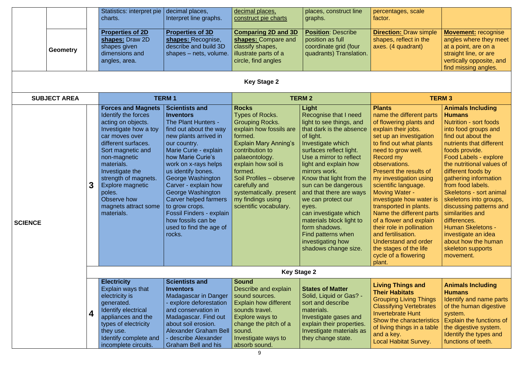|                |  | <b>Geometry</b>     |                | <b>Statistics: interpret pie</b><br>charts.<br><b>Properties of 2D</b><br>shapes: Draw 2D<br>shapes given<br>dimensions and<br>angles, area.                                                                                                                                                                              | decimal places,<br>Interpret line graphs.<br><b>Properties of 3D</b><br>shapes: Recognise,<br>describe and build 3D<br>shapes – nets, volume.                                                                                                                                                                                                                                                                                              | decimal places,<br>construct pie charts<br><b>Comparing 2D and 3D</b><br>shapes: Compare and<br>classify shapes,<br>illustrate parts of a<br>circle, find angles                                                                                                                                                                    | places, construct line<br>graphs.<br><b>Position: Describe</b><br>position as full<br>coordinate grid (four<br>quadrants) Translation.                                                                                                                                                                                                                                                                                                                                          | percentages, scale<br>factor.<br><b>Direction: Draw simple</b><br>shapes, reflect in the<br>axes. (4 quadrant)                                                                                                                                                                                                                                                                                                                                                                                                                                                 | <b>Movement: recognise</b><br>angles where they meet<br>at a point, are on a<br>straight line, or are<br>vertically opposite, and<br>find missing angles.                                                                                                                                                                                                                                                                                                                                                                               |
|----------------|--|---------------------|----------------|---------------------------------------------------------------------------------------------------------------------------------------------------------------------------------------------------------------------------------------------------------------------------------------------------------------------------|--------------------------------------------------------------------------------------------------------------------------------------------------------------------------------------------------------------------------------------------------------------------------------------------------------------------------------------------------------------------------------------------------------------------------------------------|-------------------------------------------------------------------------------------------------------------------------------------------------------------------------------------------------------------------------------------------------------------------------------------------------------------------------------------|---------------------------------------------------------------------------------------------------------------------------------------------------------------------------------------------------------------------------------------------------------------------------------------------------------------------------------------------------------------------------------------------------------------------------------------------------------------------------------|----------------------------------------------------------------------------------------------------------------------------------------------------------------------------------------------------------------------------------------------------------------------------------------------------------------------------------------------------------------------------------------------------------------------------------------------------------------------------------------------------------------------------------------------------------------|-----------------------------------------------------------------------------------------------------------------------------------------------------------------------------------------------------------------------------------------------------------------------------------------------------------------------------------------------------------------------------------------------------------------------------------------------------------------------------------------------------------------------------------------|
|                |  |                     |                |                                                                                                                                                                                                                                                                                                                           |                                                                                                                                                                                                                                                                                                                                                                                                                                            | <b>Key Stage 2</b>                                                                                                                                                                                                                                                                                                                  |                                                                                                                                                                                                                                                                                                                                                                                                                                                                                 |                                                                                                                                                                                                                                                                                                                                                                                                                                                                                                                                                                |                                                                                                                                                                                                                                                                                                                                                                                                                                                                                                                                         |
|                |  | <b>SUBJECT AREA</b> |                |                                                                                                                                                                                                                                                                                                                           | <b>TERM1</b>                                                                                                                                                                                                                                                                                                                                                                                                                               |                                                                                                                                                                                                                                                                                                                                     | <b>TERM 2</b>                                                                                                                                                                                                                                                                                                                                                                                                                                                                   |                                                                                                                                                                                                                                                                                                                                                                                                                                                                                                                                                                | <b>TERM3</b>                                                                                                                                                                                                                                                                                                                                                                                                                                                                                                                            |
| <b>SCIENCE</b> |  |                     | 3 <sup>1</sup> | <b>Forces and Magnets</b><br>Identify the forces<br>acting on objects.<br>Investigate how a toy<br>car moves over<br>different surfaces.<br>Sort magnetic and<br>non-magnetic<br>materials.<br>Investigate the<br>strength of magnets.<br>Explore magnetic<br>poles.<br>Observe how<br>magnets attract some<br>materials. | <b>Scientists and</b><br><b>Inventors</b><br>The Plant Hunters -<br>find out about the way<br>new plants arrived in<br>our country.<br>Marie Curie - explain<br>how Marie Curie's<br>work on x-rays helps<br>us identify bones.<br>George Washington<br>Carver - explain how<br>George Washington<br>Carver helped farmers<br>to grow crops.<br><b>Fossil Finders - explain</b><br>how fossils can be<br>used to find the age of<br>rocks. | <b>Rocks</b><br><b>Types of Rocks.</b><br><b>Grouping Rocks.</b><br>explain how fossils are<br>formed.<br><b>Explain Mary Anning's</b><br>contribution to<br>palaeontology.<br>explain how soil is<br>formed.<br>Soil Profiles - observe<br>carefully and<br>systematically. present<br>my findings using<br>scientific vocabulary. | Light<br>Recognise that I need<br>light to see things, and<br>that dark is the absence<br>of light.<br>Investigate which<br>surfaces reflect light.<br>Use a mirror to reflect<br>light and explain how<br>mirrors work.<br>Know that light from the<br>sun can be dangerous<br>and that there are ways<br>we can protect our<br>eyes.<br>can investigate which<br>materials block light to<br>form shadows.<br>Find patterns when<br>investigating how<br>shadows change size. | <b>Plants</b><br>name the different parts<br>of flowering plants and<br>explain their jobs.<br>set up an investigation<br>to find out what plants<br>need to grow well.<br>Record my<br>observations.<br>Present the results of<br>my investigation using<br>scientific language.<br><b>Moving Water -</b><br>investigate how water is<br>transported in plants.<br>Name the different parts<br>of a flower and explain<br>their role in pollination<br>and fertilisation.<br>Understand and order<br>the stages of the life<br>cycle of a flowering<br>plant. | <b>Animals Including</b><br><b>Humans</b><br><b>Nutrition - sort foods</b><br>into food groups and<br>find out about the<br>nutrients that different<br>foods provide.<br><b>Food Labels - explore</b><br>the nutritional values of<br>different foods by<br>gathering information<br>from food labels.<br>Skeletons - sort animal<br>skeletons into groups,<br>discussing patterns and<br>similarities and<br>differences.<br><b>Human Skeletons -</b><br>investigate an idea<br>about how the human<br>skeleton supports<br>movement. |
|                |  |                     |                |                                                                                                                                                                                                                                                                                                                           |                                                                                                                                                                                                                                                                                                                                                                                                                                            | <b>Key Stage 2</b>                                                                                                                                                                                                                                                                                                                  |                                                                                                                                                                                                                                                                                                                                                                                                                                                                                 |                                                                                                                                                                                                                                                                                                                                                                                                                                                                                                                                                                |                                                                                                                                                                                                                                                                                                                                                                                                                                                                                                                                         |
|                |  |                     | 4              | <b>Electricity</b><br>Explain ways that<br>electricity is<br>generated.<br><b>Identify electrical</b><br>appliances and the<br>types of electricity<br>they use.<br>Identify complete and<br>incomplete circuits.                                                                                                         | <b>Scientists and</b><br><b>Inventors</b><br><b>Madagascar in Danger</b><br>- explore deforestation<br>and conservation in<br>Madagascar. Find out<br>about soil erosion.<br>Alexander Graham Bell<br>- describe Alexander<br><b>Graham Bell and his</b>                                                                                                                                                                                   | <b>Sound</b><br>Describe and explain<br>sound sources.<br><b>Explain how different</b><br>sounds travel.<br>Explore ways to<br>change the pitch of a<br>sound.<br>Investigate ways to<br>absorb sound.                                                                                                                              | <b>States of Matter</b><br>Solid, Liquid or Gas? -<br>sort and describe<br>materials.<br>Investigate gases and<br>explain their properties.<br>Investigate materials as<br>they change state.                                                                                                                                                                                                                                                                                   | <b>Living Things and</b><br><b>Their Habitats</b><br><b>Grouping Living Things</b><br><b>Classifying Vertebrates</b><br><b>Invertebrate Hunt</b><br>Show the characteristics<br>of living things in a table<br>and a key.<br><b>Local Habitat Survey.</b>                                                                                                                                                                                                                                                                                                      | <b>Animals Including</b><br><b>Humans</b><br>Identify and name parts<br>of the human digestive<br>system.<br>Explain the functions of<br>the digestive system.<br>Identify the types and<br>functions of teeth.                                                                                                                                                                                                                                                                                                                         |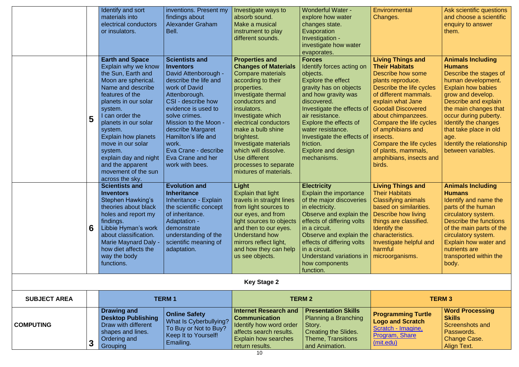|                     |   | Identify and sort<br>materials into<br>electrical conductors<br>or insulators.                                                                                                                                                                                                                                                                                                   | inventions. Present my<br>findings about<br><b>Alexander Graham</b><br>Bell.                                                                                                                                                                                                                                                        | Investigate ways to<br>absorb sound.<br>Make a musical<br>instrument to play<br>different sounds.                                                                                                                                                                                                                                                                            | <b>Wonderful Water -</b><br>explore how water<br>changes state.<br>Evaporation<br>Investigation -<br>investigate how water<br>evaporates.                                                                                                                                                                                               | Environmental<br>Changes.                                                                                                                                                                                                                                                                                                                                                   | Ask scientific questions<br>and choose a scientific<br>enquiry to answer<br>them.                                                                                                                                                                                                                                                  |
|---------------------|---|----------------------------------------------------------------------------------------------------------------------------------------------------------------------------------------------------------------------------------------------------------------------------------------------------------------------------------------------------------------------------------|-------------------------------------------------------------------------------------------------------------------------------------------------------------------------------------------------------------------------------------------------------------------------------------------------------------------------------------|------------------------------------------------------------------------------------------------------------------------------------------------------------------------------------------------------------------------------------------------------------------------------------------------------------------------------------------------------------------------------|-----------------------------------------------------------------------------------------------------------------------------------------------------------------------------------------------------------------------------------------------------------------------------------------------------------------------------------------|-----------------------------------------------------------------------------------------------------------------------------------------------------------------------------------------------------------------------------------------------------------------------------------------------------------------------------------------------------------------------------|------------------------------------------------------------------------------------------------------------------------------------------------------------------------------------------------------------------------------------------------------------------------------------------------------------------------------------|
|                     | 5 | <b>Earth and Space</b><br>Explain why we know<br>the Sun, Earth and<br>Moon are spherical.<br>Name and describe<br>features of the<br>planets in our solar<br>system.<br>I can order the<br>planets in our solar<br>system.<br><b>Explain how planets</b><br>move in our solar<br>system.<br>explain day and night<br>and the apparent<br>movement of the sun<br>across the sky. | <b>Scientists and</b><br>  Inventors<br>David Attenborough -<br>describe the life and<br>work of David<br>Attenborough.<br>CSI - describe how<br>evidence is used to<br>solve crimes.<br>Mission to the Moon -<br>describe Margaret<br>Hamilton's life and<br>work.<br>Eva Crane - describe<br>Eva Crane and her<br>work with bees. | <b>Properties and</b><br><b>Changes of Materials</b><br>Compare materials<br>according to their<br>properties.<br>Investigate thermal<br>conductors and<br>insulators.<br>Investigate which<br>electrical conductors<br>make a bulb shine<br>brightest.<br>Investigate materials<br>which will dissolve.<br>Use different<br>processes to separate<br>mixtures of materials. | <b>Forces</b><br>Identify forces acting on<br>objects.<br>Explore the effect<br>gravity has on objects<br>and how gravity was<br>discovered.<br>Investigate the effects of<br>air resistance.<br>Explore the effects of<br>water resistance.<br>Investigate the effects of<br>friction.<br>Explore and design<br>mechanisms.            | <b>Living Things and</b><br><b>Their Habitats</b><br>Describe how some<br>plants reproduce.<br>Describe the life cycles<br>of different mammals.<br>explain what Jane<br><b>Goodall Discovered</b><br>about chimpanzees.<br>Compare the life cycles<br>of amphibians and<br>insects.<br>Compare the life cycles<br>of plants, mammals,<br>amphibians, insects and<br>birds. | <b>Animals Including</b><br><b>Humans</b><br>Describe the stages of<br>human development.<br><b>Explain how babies</b><br>grow and develop.<br>Describe and explain<br>the main changes that<br>occur during puberty.<br>Identify the changes<br>that take place in old<br>age.<br>Identify the relationship<br>between variables. |
|                     | 6 | <b>Scientists and</b><br><b>Inventors</b><br><b>Stephen Hawking's</b><br>theories about black<br>holes and report my<br>findings.<br>Libbie Hyman's work<br>about classification.<br><b>Marie Maynard Daly -</b><br>how diet affects the<br>way the body<br>functions.                                                                                                           | <b>Evolution and</b><br><b>Inheritance</b><br>Inheritance - Explain<br>the scientific concept<br>of inheritance.<br>Adaptation -<br>demonstrate<br>understanding of the<br>scientific meaning of<br>adaptation.                                                                                                                     | Light<br>Explain that light<br>travels in straight lines<br>from light sources to<br>our eyes, and from<br>light sources to objects<br>and then to our eyes.<br>Understand how<br>mirrors reflect light,<br>and how they can help<br>us see objects.                                                                                                                         | <b>Electricity</b><br><b>Explain the importance</b><br>of the major discoveries   Classifying animals<br>in electricity.<br>Observe and explain the<br>effects of differing volts<br>in a circuit.<br>Observe and explain the<br>effects of differing volts<br>in a circuit.<br>Understand variations in<br>how components<br>function. | <b>Living Things and</b><br><b>Their Habitats</b><br>based on similarities.<br>Describe how living<br>things are classified.<br>Identify the<br>characteristics.<br>Investigate helpful and<br>harmful<br>microorganisms.                                                                                                                                                   | <b>Animals Including</b><br><b>Humans</b><br>Identify and name the<br>parts of the human<br>circulatory system.<br>Describe the functions<br>of the main parts of the<br>circulatory system.<br>Explain how water and<br>nutrients are<br>transported within the<br>body.                                                          |
|                     |   |                                                                                                                                                                                                                                                                                                                                                                                  |                                                                                                                                                                                                                                                                                                                                     | <b>Key Stage 2</b>                                                                                                                                                                                                                                                                                                                                                           |                                                                                                                                                                                                                                                                                                                                         |                                                                                                                                                                                                                                                                                                                                                                             |                                                                                                                                                                                                                                                                                                                                    |
| <b>SUBJECT AREA</b> |   |                                                                                                                                                                                                                                                                                                                                                                                  | <b>TERM1</b>                                                                                                                                                                                                                                                                                                                        |                                                                                                                                                                                                                                                                                                                                                                              | <b>TERM 2</b>                                                                                                                                                                                                                                                                                                                           |                                                                                                                                                                                                                                                                                                                                                                             | <b>TERM3</b>                                                                                                                                                                                                                                                                                                                       |
| <b>COMPUTING</b>    | 3 | <b>Drawing and</b><br><b>Desktop Publishing</b><br>Draw with different<br>shapes and lines.<br>Ordering and<br>Grouping                                                                                                                                                                                                                                                          | <b>Online Safety</b><br><b>What Is Cyberbullying?</b><br>To Buy or Not to Buy?<br>Keep It to Yourself!<br>Emailing.                                                                                                                                                                                                                 | <b>Internet Research and</b><br><b>Communication</b><br>Identify how word order<br>affects search results.<br><b>Explain how searches</b><br>return results.                                                                                                                                                                                                                 | <b>Presentation Skills</b><br><b>Planning a Branching</b><br>Story.<br><b>Creating the Slides.</b><br><b>Theme, Transitions</b><br>and Animation.                                                                                                                                                                                       | <b>Programming Turtle</b><br><b>Logo and Scratch</b><br>Scratch - Imagine,<br><b>Program, Share</b><br>(mit.edu)                                                                                                                                                                                                                                                            | <b>Word Processing</b><br><b>Skills</b><br><b>Screenshots and</b><br>Passwords.<br>Change Case.<br>Align Text.                                                                                                                                                                                                                     |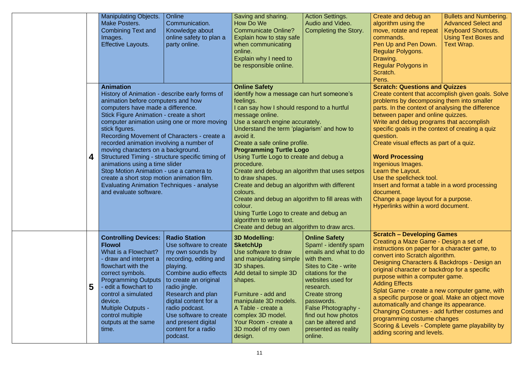|   | <b>Manipulating Objects.</b><br><b>Make Posters.</b><br>Combining Text and<br>Images.<br><b>Effective Layouts.</b>                                                                                                                                                                                                                                                                                                                                                                                                                                                                                                                                      | Online<br>Communication.<br>Knowledge about<br>online safety to plan a<br>party online.                                                                                                                                                                                                                                         | Saving and sharing.<br>How Do We<br><b>Communicate Online?</b><br>Explain how to stay safe<br>when communicating<br>online.<br>Explain why I need to<br>be responsible online.                                                                                                                                                                                                                                                                                                                                                                                                                                          | <b>Action Settings.</b><br>Audio and Video.<br><b>Completing the Story.</b>                                                                                                                                                                                                                                       | Create and debug an<br>algorithm using the<br>move, rotate and repeat<br>commands.<br>Pen Up and Pen Down.<br><b>Regular Polygons.</b><br>Drawing.<br><b>Regular Polygons in</b><br>Scratch.<br>Pens.                                                                                                                                                                                                                                                                                                                                                                                                                                         | <b>Bullets and Numbering.</b><br><b>Advanced Select and</b><br><b>Keyboard Shortcuts.</b><br><b>Using Text Boxes and</b><br>Text Wrap. |
|---|---------------------------------------------------------------------------------------------------------------------------------------------------------------------------------------------------------------------------------------------------------------------------------------------------------------------------------------------------------------------------------------------------------------------------------------------------------------------------------------------------------------------------------------------------------------------------------------------------------------------------------------------------------|---------------------------------------------------------------------------------------------------------------------------------------------------------------------------------------------------------------------------------------------------------------------------------------------------------------------------------|-------------------------------------------------------------------------------------------------------------------------------------------------------------------------------------------------------------------------------------------------------------------------------------------------------------------------------------------------------------------------------------------------------------------------------------------------------------------------------------------------------------------------------------------------------------------------------------------------------------------------|-------------------------------------------------------------------------------------------------------------------------------------------------------------------------------------------------------------------------------------------------------------------------------------------------------------------|-----------------------------------------------------------------------------------------------------------------------------------------------------------------------------------------------------------------------------------------------------------------------------------------------------------------------------------------------------------------------------------------------------------------------------------------------------------------------------------------------------------------------------------------------------------------------------------------------------------------------------------------------|----------------------------------------------------------------------------------------------------------------------------------------|
| 4 | <b>Animation</b><br>History of Animation - describe early forms of<br>animation before computers and how<br>computers have made a difference.<br>Stick Figure Animation - create a short<br>computer animation using one or more moving<br>stick figures.<br>Recording Movement of Characters - create a<br>recorded animation involving a number of<br>moving characters on a background.<br>Structured Timing - structure specific timing of<br>animations using a time slider<br>Stop Motion Animation - use a camera to<br>create a short stop motion animation film.<br><b>Evaluating Animation Techniques - analyse</b><br>and evaluate software. |                                                                                                                                                                                                                                                                                                                                 | <b>Online Safety</b><br>identify how a message can hurt someone's<br>feelings.<br>I can say how I should respond to a hurtful<br>message online.<br>Use a search engine accurately.<br>Understand the term 'plagiarism' and how to<br>avoid it.<br>Create a safe online profile.<br><b>Programming Turtle Logo</b><br>Using Turtle Logo to create and debug a<br>procedure.<br>Create and debug an algorithm that uses setpos<br>to draw shapes.<br>Create and debug an algorithm with different<br>colours.<br>Create and debug an algorithm to fill areas with<br>colour.<br>Using Turtle Logo to create and debug an |                                                                                                                                                                                                                                                                                                                   | <b>Scratch: Questions and Quizzes</b><br>problems by decomposing them into smaller<br>parts. In the context of analysing the difference<br>between paper and online quizzes.<br>Write and debug programs that accomplish<br>specific goals in the context of creating a quiz<br>question.<br>Create visual effects as part of a quiz.<br><b>Word Processing</b><br>Ingenious Images.<br>Learn the Layout.<br>Use the spellcheck tool.<br>Insert and format a table in a word processing<br>document.<br>Change a page layout for a purpose.<br>Hyperlinks within a word document.                                                             | Create content that accomplish given goals. Solve                                                                                      |
| 5 | <b>Controlling Devices:</b><br><b>Flowol</b><br>What is a Flowchart?<br>draw and interpret a<br>flowchart with the<br>correct symbols.<br><b>Programming Outputs</b><br>edit a flowchart to<br>control a simulated<br>device.<br><b>Multiple Outputs -</b><br>control multiple<br>outputs at the same<br>time.                                                                                                                                                                                                                                                                                                                                          | <b>Radio Station</b><br>Use software to create<br>my own sounds by<br>recording, editing and<br>playing.<br>Combine audio effects<br>to create an original<br>radio jingle.<br>Research and plan<br>digital content for a<br>radio podcast.<br>Use software to create<br>and present digital<br>content for a radio<br>podcast. | <b>3D Modelling:</b><br><b>SketchUp</b><br>Use software to draw<br>and manipulating simple<br>3D shapes.<br>Add detail to simple 3D<br>shapes.<br>Furniture - add and<br>manipulate 3D models.<br>A Table - create a<br>complex 3D model.<br>Your Room - create a<br>3D model of my own<br>design.                                                                                                                                                                                                                                                                                                                      | <b>Online Safety</b><br>Spam! - identify spam<br>emails and what to do<br>with them.<br>Sites to Cite - write<br>citations for the<br>websites used for<br>research.<br>Create strong<br>passwords.<br><b>False Photography -</b><br>find out how photos<br>can be altered and<br>presented as reality<br>online. | <b>Scratch - Developing Games</b><br>Creating a Maze Game - Design a set of<br>instructions on paper for a character game, to<br>convert into Scratch algorithm.<br>Designing Characters & Backdrops - Design an<br>original character or backdrop for a specific<br>purpose within a computer game.<br><b>Adding Effects</b><br>Splat Game - create a new computer game, with<br>a specific purpose or goal. Make an object move<br>automatically and change its appearance.<br>Changing Costumes - add further costumes and<br>programming costume changes<br>Scoring & Levels - Complete game playability by<br>adding scoring and levels. |                                                                                                                                        |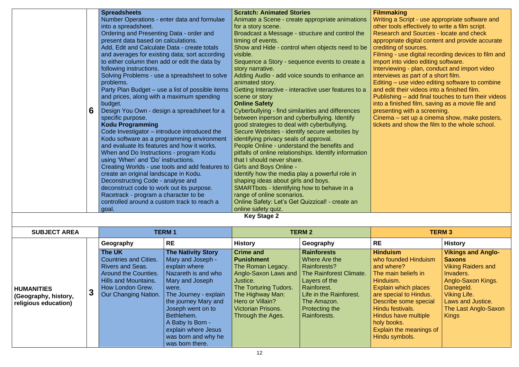|                      | <b>Spreadsheets</b>                                                                      |                                                      |                                               | <b>Scratch: Animated Stories</b>                                                      |                                                  | <b>Filmmaking</b>                                   |                           |
|----------------------|------------------------------------------------------------------------------------------|------------------------------------------------------|-----------------------------------------------|---------------------------------------------------------------------------------------|--------------------------------------------------|-----------------------------------------------------|---------------------------|
|                      | Number Operations - enter data and formulae                                              |                                                      |                                               |                                                                                       | Animate a Scene - create appropriate animations  | Writing a Script - use appropriate software and     |                           |
|                      |                                                                                          | into a spreadsheet.                                  |                                               | for a story scene.                                                                    |                                                  | other tools effectively to write a film script.     |                           |
|                      |                                                                                          | Ordering and Presenting Data - order and             |                                               | Broadcast a Message - structure and control the                                       |                                                  | Research and Sources - locate and check             |                           |
|                      |                                                                                          | present data based on calculations.                  |                                               | timing of events.                                                                     |                                                  | appropriate digital content and provide accurate    |                           |
|                      |                                                                                          | Add, Edit and Calculate Data - create totals         |                                               |                                                                                       | Show and Hide - control when objects need to be  | crediting of sources.                               |                           |
|                      |                                                                                          | and averages for existing data; sort according       |                                               | visible.                                                                              |                                                  | Filming - use digital recording devices to film and |                           |
|                      |                                                                                          | to either column then add or edit the data by        |                                               | Sequence a Story - sequence events to create a                                        |                                                  | import into video editing software.                 |                           |
|                      |                                                                                          | following instructions.                              |                                               | story narrative.                                                                      |                                                  | Interviewing - plan, conduct and import video       |                           |
|                      |                                                                                          |                                                      | Solving Problems - use a spreadsheet to solve | Adding Audio - add voice sounds to enhance an                                         |                                                  | interviews as part of a short film.                 |                           |
|                      | problems.                                                                                |                                                      | animated story.                               |                                                                                       | Editing – use video editing software to combine  |                                                     |                           |
|                      | Party Plan Budget – use a list of possible items                                         |                                                      |                                               | Getting Interactive - interactive user features to a                                  | and edit their videos into a finished film.      |                                                     |                           |
|                      | and prices, along with a maximum spending<br>scene or story                              |                                                      |                                               | Publishing – add final touches to turn their videos                                   |                                                  |                                                     |                           |
|                      |                                                                                          | budget.                                              |                                               | <b>Online Safety</b>                                                                  | into a finished film, saving as a movie file and |                                                     |                           |
|                      | 6                                                                                        | Design You Own - design a spreadsheet for a          |                                               | Cyberbullying - find similarities and differences                                     |                                                  | presenting with a screening.                        |                           |
|                      | specific purpose.                                                                        |                                                      | between inperson and cyberbullying. Identify  |                                                                                       | Cinema – set up a cinema show, make posters,     |                                                     |                           |
|                      | <b>Kodu Programming</b>                                                                  |                                                      |                                               | good strategies to deal with cyberbullying.                                           |                                                  | tickets and show the film to the whole school.      |                           |
|                      | Code Investigator – introduce introduced the                                             |                                                      | Secure Websites - identify secure websites by |                                                                                       |                                                  |                                                     |                           |
|                      | Kodu software as a programming environment                                               |                                                      | identifying privacy seals of approval.        |                                                                                       |                                                  |                                                     |                           |
|                      | and evaluate its features and how it works.                                              |                                                      | People Online - understand the benefits and   |                                                                                       |                                                  |                                                     |                           |
|                      | When and Do Instructions - program Kodu                                                  |                                                      |                                               | pitfalls of online relationships. Identify information                                |                                                  |                                                     |                           |
|                      | using 'When' and 'Do' instructions.                                                      |                                                      | that I should never share.                    |                                                                                       |                                                  |                                                     |                           |
|                      | Creating Worlds - use tools and add features to<br>create an original landscape in Kodu. |                                                      | <b>Girls and Boys Online -</b>                |                                                                                       |                                                  |                                                     |                           |
|                      |                                                                                          |                                                      |                                               | Identify how the media play a powerful role in<br>shaping ideas about girls and boys. |                                                  |                                                     |                           |
|                      |                                                                                          | Deconstructing Code - analyse and                    |                                               |                                                                                       |                                                  |                                                     |                           |
|                      |                                                                                          | deconstruct code to work out its purpose.            |                                               | SMARTbots - Identifying how to behave in a<br>range of online scenarios.              |                                                  |                                                     |                           |
|                      |                                                                                          | Racetrack - program a character to be                |                                               | Online Safety: Let's Get Quizzical! - create an                                       |                                                  |                                                     |                           |
|                      |                                                                                          | controlled around a custom track to reach a<br>goal. |                                               | online safety quiz.                                                                   |                                                  |                                                     |                           |
|                      |                                                                                          |                                                      |                                               | <b>Key Stage 2</b>                                                                    |                                                  |                                                     |                           |
| <b>SUBJECT AREA</b>  |                                                                                          |                                                      | <b>TERM1</b>                                  |                                                                                       | <b>TERM 2</b>                                    | <b>TERM3</b>                                        |                           |
|                      |                                                                                          | Geography                                            | <b>RE</b>                                     | <b>History</b>                                                                        | Geography                                        | <b>RE</b>                                           | <b>History</b>            |
|                      |                                                                                          | The UK                                               | <b>The Nativity Story</b>                     | <b>Crime and</b>                                                                      | <b>Rainforests</b>                               | <b>Hinduism</b>                                     | <b>Vikings and Anglo-</b> |
|                      |                                                                                          | <b>Countries and Cities.</b>                         | Mary and Joseph -                             | <b>Punishment</b>                                                                     | Where Are the                                    | who founded Hinduism                                | <b>Saxons</b>             |
|                      |                                                                                          | <b>Rivers and Seas.</b>                              | explain where                                 | The Roman Legacy.                                                                     | <b>Rainforests?</b>                              | and where?                                          | <b>Viking Raiders and</b> |
|                      |                                                                                          | <b>Around the Counties.</b>                          | Nazareth is and who                           | Anglo-Saxon Laws and                                                                  | The Rainforest Climate.                          | The main beliefs in                                 | Invaders.                 |
|                      | <b>Hills and Mountains.</b>                                                              |                                                      | Mary and Joseph                               | Justice.                                                                              | Layers of the                                    | Hinduism.                                           | Anglo-Saxon Kings.        |
| <b>HUMANITIES</b>    |                                                                                          | How London Grew.                                     | were.                                         | The Torturing Tudors.                                                                 | Rainforest.                                      | <b>Explain which places</b>                         | Danegeld.                 |
| (Geography, history, | $\mathbf{3}$                                                                             | Our Changing Nation.                                 | The Journey - explain                         | The Highway Man:                                                                      | Life in the Rainforest.                          | are special to Hindus.                              | <b>Viking Life.</b>       |
| religious education) |                                                                                          |                                                      | the journey Mary and                          | Hero or Villain?                                                                      | The Amazon.                                      | Describe some special                               | Laws and Justice.         |
|                      |                                                                                          |                                                      | Joseph went on to                             | <b>Victorian Prisons.</b>                                                             | Protecting the                                   | Hindu festivals.                                    | The Last Anglo-Saxon      |
|                      |                                                                                          |                                                      | Bethlehem.                                    | Through the Ages.                                                                     | Rainforests.                                     | Hindus have multiple                                | <b>Kings</b>              |
|                      |                                                                                          |                                                      | A Baby Is Born -                              |                                                                                       |                                                  | holy books.                                         |                           |
|                      |                                                                                          |                                                      | explain where Jesus                           |                                                                                       |                                                  | Explain the meanings of                             |                           |
|                      |                                                                                          |                                                      | was born and why he                           |                                                                                       |                                                  | Hindu symbols.                                      |                           |
|                      | was born there.                                                                          |                                                      |                                               |                                                                                       |                                                  |                                                     |                           |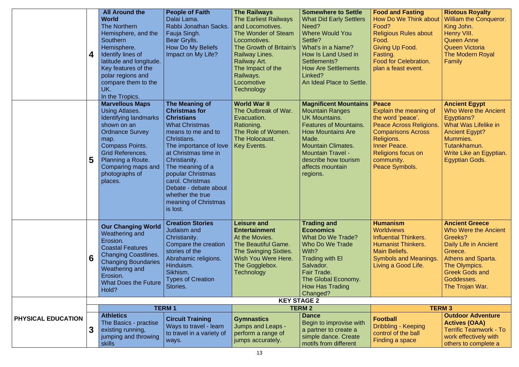|                    | 4 | <b>All Around the</b><br><b>World</b><br>The Northern<br>Hemisphere, and the<br><b>Southern</b><br>Hemisphere.<br>Identify lines of<br>latitude and longitude.<br>Key features of the<br>polar regions and<br>compare them to the<br>UK.<br>In the Tropics. | <b>People of Faith</b><br>Dalai Lama.<br>Rabbi Jonathan Sacks.<br>Fauja Singh.<br>Bear Grylls.<br>How Do My Beliefs<br>Impact on My Life?                                                                                                                                                                                                  | <b>The Railways</b><br><b>The Earliest Railways</b><br>and Locomotives.<br>The Wonder of Steam<br>Locomotives.<br>The Growth of Britain's<br><b>Railway Lines.</b><br>Railway Art.<br>The Impact of the<br>Railways.<br>Locomotive<br><b>Technology</b> | <b>Somewhere to Settle</b><br><b>What Did Early Settlers</b><br>Need?<br><b>Where Would You</b><br>Settle?<br>What's in a Name?<br>How Is Land Used in<br>Settlements?<br><b>How Are Settlements</b><br>Linked?<br>An Ideal Place to Settle.                                  | <b>Food and Fasting</b><br><b>How Do We Think about</b><br>Food?<br><b>Religious Rules about</b><br>Food.<br>Giving Up Food.<br>Fasting.<br><b>Food for Celebration.</b><br>plan a feast event.       | <b>Riotous Royalty</b><br><b>William the Conqueror.</b><br>King John.<br>Henry VIII.<br><b>Queen Anne</b><br><b>Queen Victoria</b><br><b>The Modern Royal</b><br>Family                                     |
|--------------------|---|-------------------------------------------------------------------------------------------------------------------------------------------------------------------------------------------------------------------------------------------------------------|--------------------------------------------------------------------------------------------------------------------------------------------------------------------------------------------------------------------------------------------------------------------------------------------------------------------------------------------|---------------------------------------------------------------------------------------------------------------------------------------------------------------------------------------------------------------------------------------------------------|-------------------------------------------------------------------------------------------------------------------------------------------------------------------------------------------------------------------------------------------------------------------------------|-------------------------------------------------------------------------------------------------------------------------------------------------------------------------------------------------------|-------------------------------------------------------------------------------------------------------------------------------------------------------------------------------------------------------------|
|                    | 5 | <b>Marvellous Maps</b><br><b>Using Atlases.</b><br>Identifying landmarks<br>shown on an<br><b>Ordnance Survey</b><br>map.<br><b>Compass Points.</b><br><b>Grid References.</b><br>Planning a Route.<br>Comparing maps and<br>photographs of<br>places.      | The Meaning of<br><b>Christmas for</b><br><b>Christians</b><br><b>What Christmas</b><br>means to me and to<br>Christians.<br>The importance of love<br>at Christmas time in<br>Christianity.<br>The meaning of a<br>popular Christmas<br>carol. Christmas<br>Debate - debate about<br>whether the true<br>meaning of Christmas<br>is lost. | <b>World War II</b><br>The Outbreak of War.<br>Evacuation.<br>Rationing.<br>The Role of Women.<br>The Holocaust.<br><b>Key Events.</b>                                                                                                                  | <b>Magnificent Mountains   Peace</b><br><b>Mountain Ranges</b><br><b>UK Mountains.</b><br><b>Features of Mountains.</b><br><b>How Mountains Are</b><br>Made.<br><b>Mountain Climates.</b><br><b>Mountain Travel -</b><br>describe how tourism<br>affects mountain<br>regions. | Explain the meaning of<br>the word 'peace'.<br><b>Peace Across Religions.</b><br><b>Comparisons Across</b><br>Religions.<br><b>Inner Peace.</b><br>Religions focus on<br>community.<br>Peace Symbols. | <b>Ancient Egypt</b><br>Who Were the Ancient<br>Egyptians?<br><b>What Was Lifelike in</b><br><b>Ancient Egypt?</b><br>Mummies.<br>Tutankhamun.<br>Write Like an Egyptian.<br><b>Egyptian Gods.</b>          |
|                    | 6 | <b>Our Changing World</b><br>Weathering and<br>Erosion.<br><b>Coastal Features</b><br><b>Changing Coastlines.</b><br><b>Changing Boundaries</b><br>Weathering and<br>Erosion.<br><b>What Does the Future</b><br>Hold?                                       | <b>Creation Stories</b><br>Judaism and<br>Christianity.<br>Compare the creation<br>stories of the<br>Abrahamic religions.<br>Hinduism.<br>Sikhism.<br><b>Types of Creation</b><br>Stories.                                                                                                                                                 | <b>Leisure and</b><br><b>Entertainment</b><br>At the Movies.<br>The Beautiful Game.<br>The Swinging Sixties.<br>Wish You Were Here.<br>The Gogglebox.<br><b>Technology</b>                                                                              | <b>Trading and</b><br><b>Economics</b><br>What Do We Trade?<br>Who Do We Trade<br>With?<br><b>Trading with El</b><br>Salvador.<br>Fair Trade.<br>The Global Economy.<br><b>How Has Trading</b><br>Changed?                                                                    | <b>Humanism</b><br><b>Worldviews</b><br><b>Influential Thinkers.</b><br><b>Humanist Thinkers.</b><br><b>Main Beliefs.</b><br><b>Symbols and Meanings.</b><br>Living a Good Life.                      | <b>Ancient Greece</b><br><b>Who Were the Ancient</b><br>Greeks?<br>Daily Life in Ancient<br>Greece.<br><b>Athens and Sparta.</b><br>The Olympics.<br><b>Greek Gods and</b><br>Goddesses.<br>The Trojan War. |
| PHYSICAL EDUCATION |   |                                                                                                                                                                                                                                                             | <b>TERM1</b>                                                                                                                                                                                                                                                                                                                               |                                                                                                                                                                                                                                                         | <b>KEY STAGE 2</b><br><b>TERM 2</b>                                                                                                                                                                                                                                           | <b>TERM3</b>                                                                                                                                                                                          |                                                                                                                                                                                                             |
|                    |   | <b>Athletics</b><br>The Basics - practise<br>existing running,<br>jumping and throwing<br><b>skills</b>                                                                                                                                                     | <b>Circuit Training</b><br>Ways to travel - learn<br>to travel in a variety of<br>ways.                                                                                                                                                                                                                                                    | <b>Gymnastics</b><br><b>Jumps and Leaps -</b><br>perform a range of<br>jumps accurately.                                                                                                                                                                | <b>Dance</b><br>Begin to improvise with<br>a partner to create a<br>simple dance. Create<br>motifs from different                                                                                                                                                             | <b>Football</b><br><b>Dribbling - Keeping</b><br>control of the ball<br>Finding a space                                                                                                               | <b>Outdoor Adventure</b><br><b>Actives (OAA)</b><br><b>Terrific Teamwork - To</b><br>work effectively with<br>others to complete a                                                                          |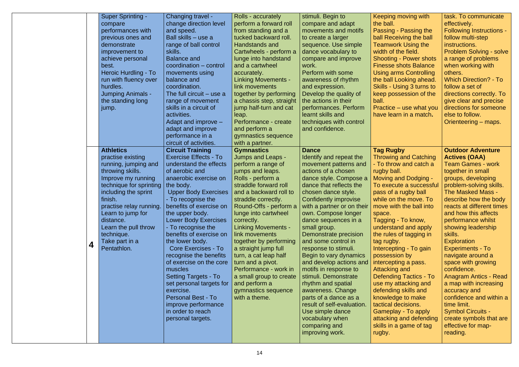|   | <b>Super Sprinting -</b><br>compare<br>performances with<br>previous ones and<br>demonstrate<br>improvement to<br>achieve personal<br>best.<br>Heroic Hurdling - To<br>run with fluency over<br>hurdles.<br>Jumping Animals -<br>the standing long<br>jump.                    | Changing travel -<br>change direction level<br>and speed.<br>Ball skills – use a<br>range of ball control<br>skills.<br><b>Balance and</b><br>coordination – control<br>movements using<br>balance and<br>coordination.<br>The full circuit – use a<br>range of movement<br>skills in a circuit of<br>activities.<br>Adapt and improve $-$<br>adapt and improve<br>performance in a<br>circuit of activities.                                                                                                                                                                                                                                 | Rolls - accurately<br>perform a forward roll<br>from standing and a<br>tucked backward roll.<br>Handstands and<br>Cartwheels - perform a<br>lunge into handstand<br>and a cartwheel<br>accurately.<br><b>Linking Movements -</b><br>link movements<br>together by performing<br>a chassis step, straight<br>jump half-turn and cat<br>leap.<br>Performance - create<br>and perform a<br>gymnastics sequence<br>with a partner.                                                                               | stimuli. Begin to<br>compare and adapt<br>movements and motifs<br>to create a larger<br>sequence. Use simple<br>dance vocabulary to<br>compare and improve<br>work.<br>Perform with some<br>awareness of rhythm<br>and expression.<br>Develop the quality of<br>the actions in their<br>performances. Perform<br>learnt skills and<br>techniques with control<br>and confidence.                                                                                                                                                                                                                                                                                                            | Keeping moving with<br>the ball.<br>Passing - Passing the<br>ball Receiving the ball<br><b>Teamwork Using the</b><br>width of the field.<br><b>Shooting - Power shots</b><br><b>Finesse shots Balance</b><br>Using arms Controlling<br>the ball Looking ahead.<br><b>Skills - Using 3 turns to</b><br>keep possession of the<br>ball.<br>Practice – use what you<br>have learn in a match.                                                                                                                                                                                                                    | task. To communicate<br>effectively.<br><b>Following Instructions -</b><br>follow multi-step<br>instructions.<br><b>Problem Solving - solve</b><br>a range of problems<br>when working with<br>others.<br><b>Which Direction? - To</b><br>follow a set of<br>directions correctly. To<br>give clear and precise<br>directions for someone<br>else to follow.<br>Orienteering – maps.                                                                                                                                                                                                                                                       |
|---|--------------------------------------------------------------------------------------------------------------------------------------------------------------------------------------------------------------------------------------------------------------------------------|-----------------------------------------------------------------------------------------------------------------------------------------------------------------------------------------------------------------------------------------------------------------------------------------------------------------------------------------------------------------------------------------------------------------------------------------------------------------------------------------------------------------------------------------------------------------------------------------------------------------------------------------------|--------------------------------------------------------------------------------------------------------------------------------------------------------------------------------------------------------------------------------------------------------------------------------------------------------------------------------------------------------------------------------------------------------------------------------------------------------------------------------------------------------------|---------------------------------------------------------------------------------------------------------------------------------------------------------------------------------------------------------------------------------------------------------------------------------------------------------------------------------------------------------------------------------------------------------------------------------------------------------------------------------------------------------------------------------------------------------------------------------------------------------------------------------------------------------------------------------------------|---------------------------------------------------------------------------------------------------------------------------------------------------------------------------------------------------------------------------------------------------------------------------------------------------------------------------------------------------------------------------------------------------------------------------------------------------------------------------------------------------------------------------------------------------------------------------------------------------------------|--------------------------------------------------------------------------------------------------------------------------------------------------------------------------------------------------------------------------------------------------------------------------------------------------------------------------------------------------------------------------------------------------------------------------------------------------------------------------------------------------------------------------------------------------------------------------------------------------------------------------------------------|
| 4 | <b>Athletics</b><br>practise existing<br>running, jumping and<br>throwing skills.<br>Improve my running<br>technique for sprinting<br>including the sprint<br>finish.<br>Learn to jump for<br>distance.<br>Learn the pull throw<br>technique.<br>Take part in a<br>Pentathlon. | <b>Circuit Training</b><br><b>Exercise Effects - To</b><br>understand the effects<br>of aerobic and<br>anaerobic exercise on<br>the body.<br><b>Upper Body Exercises</b><br>- To recognise the<br>practise relay running.   benefits of exercise on<br>the upper body.<br><b>Lower Body Exercises</b><br>- To recognise the<br>benefits of exercise on<br>the lower body.<br><b>Core Exercises - To</b><br>recognise the benefits<br>of exercise on the core<br>muscles<br><b>Setting Targets - To</b><br>set personal targets for<br>exercise.<br><b>Personal Best - To</b><br>improve performance<br>in order to reach<br>personal targets. | <b>Gymnastics</b><br>Jumps and Leaps -<br>perform a range of<br>jumps and leaps.<br>Rolls - perform a<br>straddle forward roll<br>and a backward roll to<br>straddle correctly.<br>Round-Offs - perform a<br>lunge into cartwheel<br>correctly.<br><b>Linking Movements -</b><br>link movements<br>together by performing<br>a straight jump full<br>turn, a cat leap half<br>turn and a pivot.<br>Performance - work in<br>a small group to create<br>and perform a<br>gymnastics sequence<br>with a theme. | <b>Dance</b><br>Identify and repeat the<br>movement patterns and<br>actions of a chosen<br>dance style. Compose a<br>dance that reflects the<br>chosen dance style.<br><b>Confidently improvise</b><br>with a partner or on their $\vert$ move with the ball into<br>own. Compose longer<br>dance sequences in a<br>small group.<br>Demonstrate precision<br>and some control in<br>response to stimuli.<br>Begin to vary dynamics<br>and develop actions and<br>motifs in response to<br>stimuli. Demonstrate<br>rhythm and spatial<br>awareness. Change<br>parts of a dance as a<br>result of self-evaluation.<br>Use simple dance<br>vocabulary when<br>comparing and<br>improving work. | <b>Tag Rugby</b><br><b>Throwing and Catching</b><br>- To throw and catch a<br>rugby ball.<br><b>Moving and Dodging -</b><br>To execute a successful<br>pass of a rugby ball<br>while on the move. To<br>space.<br>Tagging - To know,<br>understand and apply<br>the rules of tagging in<br>tag rugby.<br>Intercepting - To gain<br>possession by<br>intercepting a pass.<br>Attacking and<br><b>Defending Tactics - To</b><br>use my attacking and<br>defending skills and<br>knowledge to make<br>tactical decisions.<br>Gameplay - To apply<br>attacking and defending<br>skills in a game of tag<br>rugby. | <b>Outdoor Adventure</b><br><b>Actives (OAA)</b><br><b>Team Games - work</b><br>together in small<br>groups, developing<br>problem-solving skills.<br><b>The Masked Mass -</b><br>describe how the body<br>reacts at different times<br>and how this affects<br>performance whilst<br>showing leadership<br>skills.<br><b>Exploration</b><br><b>Experiments - To</b><br>navigate around a<br>space with growing<br>confidence.<br><b>Anagram Antics - Read</b><br>a map with increasing<br>accuracy and<br>confidence and within a<br>time limit.<br><b>Symbol Circuits -</b><br>create symbols that are<br>effective for map-<br>reading. |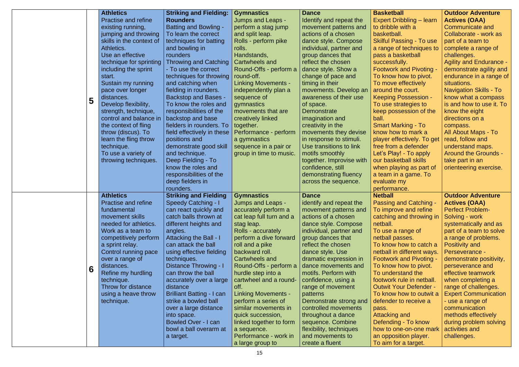|   | <b>Athletics</b>            | <b>Striking and Fielding:</b>    | <b>Gymnastics</b>          | <b>Dance</b>             | <b>Basketball</b>               | <b>Outdoor Adventure</b>       |
|---|-----------------------------|----------------------------------|----------------------------|--------------------------|---------------------------------|--------------------------------|
|   |                             |                                  |                            |                          |                                 |                                |
|   | <b>Practise and refine</b>  | <b>Rounders</b>                  | <b>Jumps and Leaps -</b>   | Identify and repeat the  | Expert Dribbling - learn        | <b>Actives (OAA)</b>           |
|   | existing running,           | <b>Batting and Bowling -</b>     | perform a stag jump        | movement patterns and    | to dribble with a               | Communicate and                |
|   | jumping and throwing        | To learn the correct             | and split leap.            | actions of a chosen      | basketball.                     | Collaborate - work as          |
|   | skills in the context of    | techniques for batting           | Rolls - perform pike       | dance style. Compose     | <b>Skilful Passing - To use</b> | part of a team to              |
|   | Athletics.                  | and bowling in                   | rolls.                     | individual, partner and  | a range of techniques to        | complete a range of            |
|   | Use an effective            | rounders                         | Handstands,                | group dances that        | pass a basketball               | challenges.                    |
|   | technique for sprinting     | <b>Throwing and Catching</b>     | Cartwheels and             | reflect the chosen       | successfully.                   | <b>Agility and Endurance -</b> |
|   | including the sprint        | - To use the correct             | Round-Offs - perform a     | dance style. Show a      | <b>Footwork and Pivoting -</b>  | demonstrate agility and        |
|   | start.                      | techniques for throwing          | round-off.                 | change of pace and       | To know how to pivot.           | endurance in a range of        |
|   |                             |                                  |                            |                          |                                 |                                |
|   | Sustain my running          | and catching when                | <b>Linking Movements -</b> | timing in their          | To move effectively             | situations.                    |
|   | pace over longer            | fielding in rounders.            | independently plan a       | movements. Develop an    | around the court.               | <b>Navigation Skills - To</b>  |
| 5 | distances.                  | <b>Backstop and Bases -</b>      | sequence of                | awareness of their use   | <b>Keeping Possession -</b>     | know what a compass            |
|   | Develop flexibility,        | To know the roles and            | gymnastics                 | of space.                | To use strategies to            | is and how to use it. To       |
|   | strength, technique,        | responsibilities of the          | movements that are         | Demonstrate              | keep possession of the          | know the eight                 |
|   | control and balance in      | backstop and base                | creatively linked          | imagination and          | ball.                           | directions on a                |
|   | the context of fling        | fielders in rounders. To         | together.                  | creativity in the        | <b>Smart Marking - To</b>       | compass.                       |
|   | throw (discus). To          | field effectively in these       | Performance - perform      | movements they devise    | know how to mark a              | All About Maps - To            |
|   | learn the fling throw       | positions and                    | a gymnastics               | in response to stimuli.  | player effectively. To get      | read, follow and               |
|   |                             |                                  |                            |                          |                                 |                                |
|   | technique.                  | demonstrate good skill           | sequence in a pair or      | Use transitions to link  | free from a defender            | understand maps.               |
|   | To use a variety of         | and technique.                   | group in time to music.    | motifs smoothly          | Let's Play! - To apply          | <b>Around the Grounds -</b>    |
|   | throwing techniques.        | Deep Fielding - To               |                            | together. Improvise with | our basketball skills           | take part in an                |
|   |                             | know the roles and               |                            | confidence, still        | when playing as part of         | orienteering exercise.         |
|   |                             | responsibilities of the          |                            | demonstrating fluency    | a team in a game. To            |                                |
|   |                             | deep fielders in                 |                            | across the sequence.     | evaluate my                     |                                |
|   |                             | rounders.                        |                            |                          | performance.                    |                                |
|   | <b>Athletics</b>            | <b>Striking and Fielding</b>     | <b>Gymnastics</b>          | <b>Dance</b>             | <b>Netball</b>                  | <b>Outdoor Adventure</b>       |
|   | <b>Practise and refine</b>  | <b>Speedy Catching - I</b>       | Jumps and Leaps -          | identify and repeat the  | <b>Passing and Catching</b>     | <b>Actives (OAA)</b>           |
|   | fundamental                 | can react quickly and            | accurately perform a       | movement patterns and    | To improve and refine           | <b>Perfect Problem-</b>        |
|   | movement skills             | catch balls thrown at            | cat leap full turn and a   | actions of a chosen      | catching and throwing in        | Solving - work                 |
|   | needed for athletics.       | different heights and            | stag leap.                 | dance style. Compose     | netball.                        | systematically and as          |
|   | Work as a team to           | angles.                          | Rolls - accurately         | individual, partner and  | To use a range of               | part of a team to solve        |
|   |                             | Attacking the Ball - I           | perform a dive forward     | group dances that        |                                 | a range of problems.           |
|   | competitively perform       |                                  |                            |                          | netball passes.                 |                                |
|   | a sprint relay.             | can attack the ball              | roll and a pike            | reflect the chosen       | To know how to catch a          | Positivity and                 |
|   | <b>Control running pace</b> | using effective fielding         | backward roll.             | dance style. Use         | netball in different ways.      | Perseverance -                 |
|   | over a range of             | techniques.                      | Cartwheels and             | dramatic expression in   | <b>Footwork and Pivoting -</b>  | demonstrate positivity,        |
| 6 | distances.                  | Distance Throwing - I            | Round-Offs - perform a     | dance movements and      | To know how to pivot.           | perseverance and               |
|   | Refine my hurdling          | can throw the ball               | hurdle step into a         | motifs. Perform with     | To understand the               | effective teamwork             |
|   | technique.                  | accurately over a large          | cartwheel and a round-     | confidence, using a      | footwork rule in netball.       | when completing a              |
|   | Throw for distance          | distance                         | off.                       | range of movement        | <b>Outwit Your Defender -</b>   | range of challenges.           |
|   | using a heave throw         | <b>Brilliant Batting - I can</b> | <b>Linking Movements -</b> | patterns                 | To know how to outwit a         | <b>Expert Communication</b>    |
|   | technique.                  | strike a bowled ball             | perform a series of        | Demonstrate strong and   | defender to receive a           | - use a range of               |
|   |                             | over a large distance            | similar movements in       | controlled movements     | pass.                           | communication                  |
|   |                             | into space.                      | quick succession,          | throughout a dance       | Attacking and                   | methods effectively            |
|   |                             | Bowled Over - I can              | linked together to form    | sequence. Combine        | Defending - To know             | during problem solving         |
|   |                             | bowl a ball overarm at           | a sequence.                | flexibility, techniques  | how to one-on-one mark          | activities and                 |
|   |                             |                                  | Performance - work in      | and movements to         | an opposition player.           | challenges.                    |
|   |                             | a target.                        |                            |                          |                                 |                                |
|   |                             |                                  | a large group to           | create a fluent          | To aim for a target.            |                                |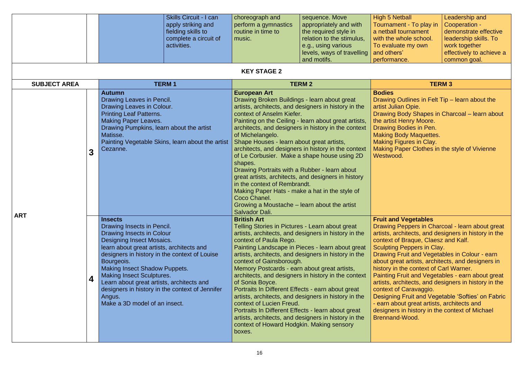|                                                                                                                                                                                                                                                                                                              |   | <b>Skills Circuit - I can</b><br>apply striking and<br>fielding skills to<br>complete a circuit of<br>activities.                                                                                                                                                                                                                                                                                                                                | choreograph and<br>perform a gymnastics<br>routine in time to<br>music.                                                                                                                                                                                                                                                                                                                      | sequence. Move<br>appropriately and with<br>the required style in<br>relation to the stimulus,<br>e.g., using various<br>levels, ways of travelling<br>and motifs.                                                                                                                                                                      | <b>High 5 Netball</b><br>Tournament - To play in<br>a netball tournament<br>with the whole school.<br>To evaluate my own<br>and others'<br>performance.                                                                                                                                                                                                                                                                                                                                                                                                                                                                                                                  | Leadership and<br>Cooperation -<br>demonstrate effective<br>leadership skills. To<br>work together<br>effectively to achieve a<br>common goal. |
|--------------------------------------------------------------------------------------------------------------------------------------------------------------------------------------------------------------------------------------------------------------------------------------------------------------|---|--------------------------------------------------------------------------------------------------------------------------------------------------------------------------------------------------------------------------------------------------------------------------------------------------------------------------------------------------------------------------------------------------------------------------------------------------|----------------------------------------------------------------------------------------------------------------------------------------------------------------------------------------------------------------------------------------------------------------------------------------------------------------------------------------------------------------------------------------------|-----------------------------------------------------------------------------------------------------------------------------------------------------------------------------------------------------------------------------------------------------------------------------------------------------------------------------------------|--------------------------------------------------------------------------------------------------------------------------------------------------------------------------------------------------------------------------------------------------------------------------------------------------------------------------------------------------------------------------------------------------------------------------------------------------------------------------------------------------------------------------------------------------------------------------------------------------------------------------------------------------------------------------|------------------------------------------------------------------------------------------------------------------------------------------------|
|                                                                                                                                                                                                                                                                                                              |   |                                                                                                                                                                                                                                                                                                                                                                                                                                                  | <b>KEY STAGE 2</b>                                                                                                                                                                                                                                                                                                                                                                           |                                                                                                                                                                                                                                                                                                                                         |                                                                                                                                                                                                                                                                                                                                                                                                                                                                                                                                                                                                                                                                          |                                                                                                                                                |
| <b>SUBJECT AREA</b><br><b>TERM1</b><br><b>Autumn</b><br>Drawing Leaves in Pencil.<br>Drawing Leaves in Colour.<br><b>Printing Leaf Patterns.</b><br><b>Making Paper Leaves.</b><br>Drawing Pumpkins, learn about the artist<br>Matisse.<br>Painting Vegetable Skins, learn about the artist<br>Cezanne.<br>3 |   | <b>European Art</b><br>Drawing Broken Buildings - learn about great<br>context of Anselm Kiefer.<br>of Michelangelo.<br>Shape Houses - learn about great artists,<br>shapes.<br>Drawing Portraits with a Rubber - learn about<br>in the context of Rembrandt.<br>Making Paper Hats - make a hat in the style of<br>Coco Chanel.<br>Growing a Moustache – learn about the artist<br>Salvador Dali.                                                | <b>TERM 2</b><br>artists, architects, and designers in history in the<br>Painting on the Ceiling - learn about great artists,<br>architects, and designers in history in the context<br>architects, and designers in history in the context<br>of Le Corbusier. Make a shape house using 2D<br>great artists, architects, and designers in history                                           | <b>Bodies</b><br>Drawing Outlines in Felt Tip - learn about the<br>artist Julian Opie.<br>Drawing Body Shapes in Charcoal - learn about<br>the artist Henry Moore.<br>Drawing Bodies in Pen.<br><b>Making Body Maquettes.</b><br><b>Making Figures in Clay.</b><br>Making Paper Clothes in the style of Vivienne<br>Westwood.           | <b>TERM3</b>                                                                                                                                                                                                                                                                                                                                                                                                                                                                                                                                                                                                                                                             |                                                                                                                                                |
| <b>ART</b>                                                                                                                                                                                                                                                                                                   | 4 | <b>Insects</b><br>Drawing Insects in Pencil.<br>Drawing Insects in Colour<br><b>Designing Insect Mosaics.</b><br>learn about great artists, architects and<br>designers in history in the context of Louise<br>Bourgeois.<br><b>Making Insect Shadow Puppets.</b><br><b>Making Insect Sculptures.</b><br>Learn about great artists, architects and<br>designers in history in the context of Jennifer<br>Angus.<br>Make a 3D model of an insect. | <b>British Art</b><br>Telling Stories in Pictures - Learn about great<br>context of Paula Rego.<br>context of Gainsborough.<br>Memory Postcards - earn about great artists,<br>of Sonia Boyce.<br>Portraits In Different Effects - earn about great<br>context of Lucien Freud.<br>Portraits In Different Effects - learn about great<br>context of Howard Hodgkin. Making sensory<br>boxes. | artists, architects, and designers in history in the<br>Painting Landscape in Pieces - learn about great<br>artists, architects, and designers in history in the<br>architects, and designers in history in the context<br>artists, architects, and designers in history in the<br>artists, architects, and designers in history in the | <b>Fruit and Vegetables</b><br>Drawing Peppers in Charcoal - learn about great<br>artists, architects, and designers in history in the<br>context of Braque, Claesz and Kalf.<br>Sculpting Peppers in Clay.<br>Drawing Fruit and Vegetables in Colour - earn<br>about great artists, architects, and designers in<br>history in the context of Carl Warner.<br>Painting Fruit and Vegetables - earn about great<br>artists, architects, and designers in history in the<br>context of Caravaggio.<br>Designing Fruit and Vegetable 'Softies' on Fabric<br>- earn about great artists, architects and<br>designers in history in the context of Michael<br>Brennand-Wood. |                                                                                                                                                |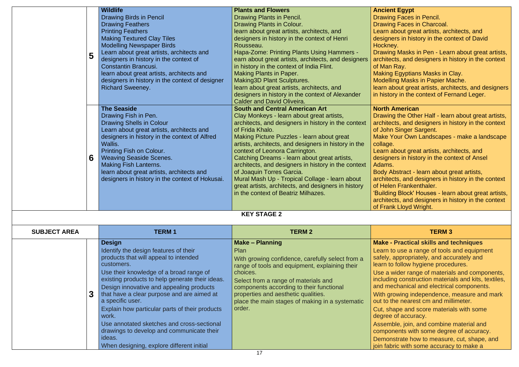## **A**<br>**Egypt**

- g Faces in Pencil.
- g Faces in Charcoal.
- bout great artists, architects, and
- ers in history in the context of David
- V.
- g Masks in Pen Learn about great artists, cts, and designers in history in the context Ray.
- Egyptians Masks in Clay.
- ng Masks in Papier Mache.
- bout great artists, architects, and designers ry in the context of Fernand Leger.

### **American**

- g the Other Half learn about great artists, cts, and designers in history in the context **Singer Sargent.**
- Your Own Landscapes make a landscape
- about great artists, architects, and
- ers in history in the context of Ansel
- bstract learn about great artists,
- cts, and designers in history in the context n Frankenthaler.
- g Block' Houses learn about great artists, cts, and designers in history in the context k Lloyd Wright.

# **Practical skills and techniques**

- o use a range of tools and equipment appropriately, and accurately and follow hygiene procedures.
- wider range of materials and components, ig construction materials and kits, textiles, echanical and electrical components.
- owing independence, measure and mark he nearest cm and millimeter.
- ape and score materials with some of accuracy.
- ble, join, and combine material and nents with some degree of accuracy.
- strate how to measure, cut, shape, and ric with some accuracy to make a

|                     |   | <b>Wildlife</b>                                                                                                                                                                                                                                                                                                                                                                                                                                                                                                                        | <b>Plants and Flowers</b>                                                                                                                                                                                                                                                                                                                                                                                                                                                                                                                                                                | <b>Ancient Egypt</b>                                                                                                                                                                                                                                                                                                                                                                                                                                                                          |
|---------------------|---|----------------------------------------------------------------------------------------------------------------------------------------------------------------------------------------------------------------------------------------------------------------------------------------------------------------------------------------------------------------------------------------------------------------------------------------------------------------------------------------------------------------------------------------|------------------------------------------------------------------------------------------------------------------------------------------------------------------------------------------------------------------------------------------------------------------------------------------------------------------------------------------------------------------------------------------------------------------------------------------------------------------------------------------------------------------------------------------------------------------------------------------|-----------------------------------------------------------------------------------------------------------------------------------------------------------------------------------------------------------------------------------------------------------------------------------------------------------------------------------------------------------------------------------------------------------------------------------------------------------------------------------------------|
|                     | 5 | <b>Drawing Birds in Pencil</b><br><b>Drawing Feathers</b><br><b>Printing Feathers</b><br><b>Making Textured Clay Tiles</b><br><b>Modelling Newspaper Birds</b><br>Learn about great artists, architects and<br>designers in history in the context of<br><b>Constantin Brancusi.</b><br>learn about great artists, architects and<br>designers in history in the context of designer<br><b>Richard Sweeney.</b>                                                                                                                        | Drawing Plants in Pencil.<br>Drawing Plants in Colour.<br>learn about great artists, architects, and<br>designers in history in the context of Henri<br>Rousseau.<br>Hapa-Zome: Printing Plants Using Hammers -<br>earn about great artists, architects, and designers<br>in history in the context of India Flint.<br><b>Making Plants in Paper.</b><br><b>Making3D Plant Sculptures.</b><br>learn about great artists, architects, and<br>designers in history in the context of Alexander<br><b>Calder and David Oliveira.</b>                                                        | Drawing Faces in Pencil.<br>Drawing Faces in Charcoal.<br>Learn about great artists, arc<br>designers in history in the cor<br>Hockney.<br><b>Drawing Masks in Pen - Lear</b><br>architects, and designers in h<br>of Man Ray.<br><b>Making Egyptians Masks in C</b><br><b>Modelling Masks in Papier Ma</b><br>learn about great artists, arch<br>in history in the context of Fe                                                                                                             |
|                     | 6 | <b>The Seaside</b><br>Drawing Fish in Pen.<br><b>Drawing Shells in Colour</b><br>Learn about great artists, architects and<br>designers in history in the context of Alfred<br>Wallis.<br><b>Printing Fish on Colour.</b><br><b>Weaving Seaside Scenes.</b><br><b>Making Fish Lanterns.</b><br>learn about great artists, architects and<br>designers in history in the context of Hokusai.                                                                                                                                            | <b>South and Central American Art</b><br>Clay Monkeys - learn about great artists,<br>architects, and designers in history in the context<br>of Frida Khalo.<br>Making Picture Puzzles - learn about great<br>artists, architects, and designers in history in the<br>context of Leonora Carrington.<br>Catching Dreams - learn about great artists,<br>architects, and designers in history in the context<br>of Joaquin Torres Garcia.<br>Mural Mash Up - Tropical Collage - learn about<br>great artists, architects, and designers in history<br>in the context of Beatriz Milhazes. | <b>North American</b><br>Drawing the Other Half - lear<br>architects, and designers in h<br>of John Singer Sargent.<br><b>Make Your Own Landscapes</b><br>collage.<br>Learn about great artists, arc<br>designers in history in the cor<br>Adams.<br>Body Abstract - learn about g<br>architects, and designers in h<br>of Helen Frankenthaler.<br>'Building Block' Houses - lear<br>architects, and designers in h<br>of Frank Lloyd Wright.                                                 |
|                     |   |                                                                                                                                                                                                                                                                                                                                                                                                                                                                                                                                        | <b>KEY STAGE 2</b>                                                                                                                                                                                                                                                                                                                                                                                                                                                                                                                                                                       |                                                                                                                                                                                                                                                                                                                                                                                                                                                                                               |
| <b>SUBJECT AREA</b> |   | <b>TERM1</b>                                                                                                                                                                                                                                                                                                                                                                                                                                                                                                                           | <b>TERM 2</b>                                                                                                                                                                                                                                                                                                                                                                                                                                                                                                                                                                            | <b>TERM3</b>                                                                                                                                                                                                                                                                                                                                                                                                                                                                                  |
|                     |   | <b>Design</b><br>Identify the design features of their<br>products that will appeal to intended<br>customers.<br>Use their knowledge of a broad range of<br>existing products to help generate their ideas.<br>Design innovative and appealing products<br>that have a clear purpose and are aimed at<br>a specific user.<br>Explain how particular parts of their products<br>work.<br>Use annotated sketches and cross-sectional<br>drawings to develop and communicate their<br>ideas.<br>When designing, explore different initial | <b>Make - Planning</b><br>Plan<br>With growing confidence, carefully select from a<br>range of tools and equipment, explaining their<br>choices.<br>Select from a range of materials and<br>components according to their functional<br>properties and aesthetic qualities.<br>place the main stages of making in a systematic<br>order.                                                                                                                                                                                                                                                 | <b>Make - Practical skills and t</b><br>Learn to use a range of tools<br>safely, appropriately, and acc<br>learn to follow hygiene proced<br>Use a wider range of materia<br>including construction materia<br>and mechanical and electrica<br>With growing independence,<br>out to the nearest cm and mil<br>Cut, shape and score materia<br>degree of accuracy.<br>Assemble, join, and combine<br>components with some degre<br>Demonstrate how to measure<br>join fabric with some accurac |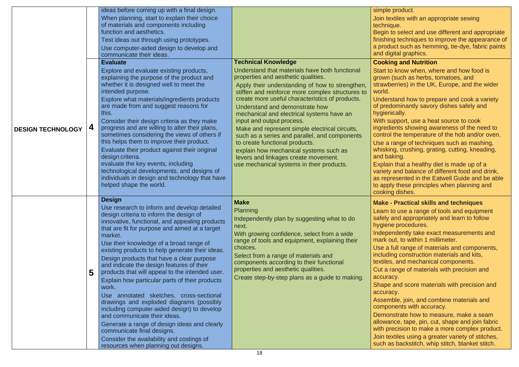product.

- xtiles with an appropriate sewing que.
- to select and use different and appropriate ng techniques to improve the appearance of uct such as hemming, tie-dye, fabric paints gital graphics.

# **ng and Nutrition**

- o know when, where and how food is (such as herbs, tomatoes, and erries) in the UK, Europe, and the wider
- stand how to prepare and cook a variety lominantly savory dishes safely and ically.
- upport, use a heat source to cook ients showing awareness of the need to I the temperature of the hob and/or oven.
- range of techniques such as mashing, ng, crushing, grating, cutting, kneading, iking.
- n that a healthy diet is made up of a and balance of different food and drink, resented in the Eatwell Guide and be able ly these principles when planning and g dishes.

| <b>DESIGN TECHNOLOGY</b> | 4 | ideas before coming up with a final design.<br>When planning, start to explain their choice<br>of materials and components including<br>function and aesthetics.<br>Test ideas out through using prototypes.<br>Use computer-aided design to develop and<br>communicate their ideas.<br><b>Evaluate</b><br>Explore and evaluate existing products,<br>explaining the purpose of the product and<br>whether it is designed well to meet the<br>intended purpose.<br>Explore what materials/ingredients products<br>are made from and suggest reasons for<br>this.<br>Consider their design criteria as they make<br>progress and are willing to alter their plans,<br>sometimes considering the views of others if<br>this helps them to improve their product.<br>Evaluate their product against their original<br>design criteria.<br>evaluate the key events, including<br>technological developments, and designs of<br>individuals in design and technology that have | <b>Technical Knowledge</b><br>Understand that materials have both functional<br>properties and aesthetic qualities.<br>Apply their understanding of how to strengthen,<br>stiffen and reinforce more complex structures to<br>create more useful characteristics of products.<br>Understand and demonstrate how<br>mechanical and electrical systems have an<br>input and output process.<br>Make and represent simple electrical circuits,<br>such as a series and parallel, and components<br>to create functional products.<br>explain how mechanical systems such as<br>levers and linkages create movement.<br>use mechanical systems in their products. | simple<br>Join te:<br>technic<br>Begin t<br>finishin<br>a produ<br>and dig<br><b>Cookir</b><br><b>Start to</b><br>grown<br>strawb<br>world.<br><b>Unders</b><br>of pred<br>hygien<br><b>With st</b><br>ingredi<br>control<br>Use a<br>whiskir<br>and ba<br><b>Explair</b><br>variety<br>as repr |
|--------------------------|---|---------------------------------------------------------------------------------------------------------------------------------------------------------------------------------------------------------------------------------------------------------------------------------------------------------------------------------------------------------------------------------------------------------------------------------------------------------------------------------------------------------------------------------------------------------------------------------------------------------------------------------------------------------------------------------------------------------------------------------------------------------------------------------------------------------------------------------------------------------------------------------------------------------------------------------------------------------------------------|---------------------------------------------------------------------------------------------------------------------------------------------------------------------------------------------------------------------------------------------------------------------------------------------------------------------------------------------------------------------------------------------------------------------------------------------------------------------------------------------------------------------------------------------------------------------------------------------------------------------------------------------------------------|-------------------------------------------------------------------------------------------------------------------------------------------------------------------------------------------------------------------------------------------------------------------------------------------------|
|                          | 5 | helped shape the world.<br><b>Design</b><br>Use research to inform and develop detailed<br>design criteria to inform the design of<br>innovative, functional, and appealing products<br>that are fit for purpose and aimed at a target<br>market.<br>Use their knowledge of a broad range of<br>existing products to help generate their ideas.<br>Design products that have a clear purpose<br>and indicate the design features of their<br>products that will appeal to the intended user.<br>Explain how particular parts of their products<br>work.<br>Use annotated sketches, cross-sectional<br>drawings and exploded diagrams (possibly<br>including computer-aided design) to develop<br>and communicate their ideas.<br>Generate a range of design ideas and clearly<br>communicate final designs.<br>Consider the availability and costings of<br>resources when planning out designs.                                                                          | <b>Make</b><br>Planning<br>Independently plan by suggesting what to do<br>next.<br>With growing confidence, select from a wide<br>range of tools and equipment, explaining their<br>choices.<br>Select from a range of materials and<br>components according to their functional<br>properties and aesthetic qualities.<br>Create step-by-step plans as a guide to making.                                                                                                                                                                                                                                                                                    | to appl<br>cooking<br>Make -<br>Learn t<br>safely a<br>hygien<br>Indepe<br>mark o<br>Use a<br>includi<br>textiles<br>Cut a r<br>accura<br><b>Shape</b><br>accura<br>Assem<br>compo<br>Demor<br>allowar<br>with pr<br>Join te<br>such a                                                          |

## **Make - Practical skills and techniques**

- to use a range of tools and equipment and appropriately and learn to follow le procedures.
- endently take exact measurements and out, to within 1 millimeter.
- full range of materials and components, ng construction materials and kits, , and mechanical components.
- range of materials with precision and i**cy.**
- and score materials with precision and icy.
- able, join, and combine materials and onents with accuracy.
- nstrate how to measure, make a seam nce, tape, pin, cut, shape and join fabric recision to make a more complex product.
- xtiles using a greater variety of stitches, is backstitch, whip stitch, blanket stitch.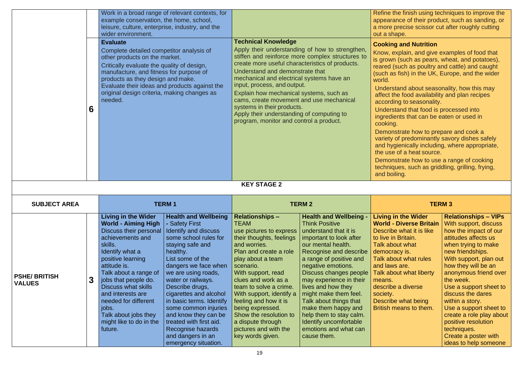|                                      | 6 | example conservation, the home, school,<br>leisure, culture, enterprise, industry, and the<br>wider environment.<br><b>Evaluate</b><br>Complete detailed competitor analysis of<br>other products on the market.<br>Critically evaluate the quality of design,<br>manufacture, and fitness for purpose of<br>products as they design and make.<br>Evaluate their ideas and products against the<br>original design criteria, making changes as<br>needed. | Work in a broad range of relevant contexts, for                                                                                                                                                                                                                                                                                                                                                                                                    | <b>Technical Knowledge</b><br>create more useful characteristics of products.<br>Understand and demonstrate that<br>mechanical and electrical systems have an<br>input, process, and output.<br>Explain how mechanical systems, such as<br>cams, create movement and use mechanical<br>systems in their products.<br>Apply their understanding of computing to<br>program, monitor and control a product.            | Apply their understanding of how to strengthen,<br>stiffen and reinforce more complex structures to                                                                                                                                                                                                                                                                                                                                                           | Refine the finish using techniques to improve the<br>appearance of their product, such as sanding, or<br>a more precise scissor cut after roughly cutting<br>out a shape.<br><b>Cooking and Nutrition</b><br>Know, explain, and give examples of food that<br>is grown (such as pears, wheat, and potatoes),<br>reared (such as poultry and cattle) and caught<br>(such as fish) in the UK, Europe, and the wider<br>world.<br>Understand about seasonality, how this may<br>affect the food availability and plan recipes<br>according to seasonality.<br>Understand that food is processed into<br>ingredients that can be eaten or used in<br>cooking.<br>Demonstrate how to prepare and cook a<br>variety of predominantly savory dishes safely<br>and hygienically including, where appropriate,<br>the use of a heat source.<br>Demonstrate how to use a range of cooking<br>techniques, such as griddling, grilling, frying,<br>and boiling. |                                                                                                                                                                                                                                                                                                                                                                                                                                                        |
|--------------------------------------|---|-----------------------------------------------------------------------------------------------------------------------------------------------------------------------------------------------------------------------------------------------------------------------------------------------------------------------------------------------------------------------------------------------------------------------------------------------------------|----------------------------------------------------------------------------------------------------------------------------------------------------------------------------------------------------------------------------------------------------------------------------------------------------------------------------------------------------------------------------------------------------------------------------------------------------|----------------------------------------------------------------------------------------------------------------------------------------------------------------------------------------------------------------------------------------------------------------------------------------------------------------------------------------------------------------------------------------------------------------------|---------------------------------------------------------------------------------------------------------------------------------------------------------------------------------------------------------------------------------------------------------------------------------------------------------------------------------------------------------------------------------------------------------------------------------------------------------------|-----------------------------------------------------------------------------------------------------------------------------------------------------------------------------------------------------------------------------------------------------------------------------------------------------------------------------------------------------------------------------------------------------------------------------------------------------------------------------------------------------------------------------------------------------------------------------------------------------------------------------------------------------------------------------------------------------------------------------------------------------------------------------------------------------------------------------------------------------------------------------------------------------------------------------------------------------|--------------------------------------------------------------------------------------------------------------------------------------------------------------------------------------------------------------------------------------------------------------------------------------------------------------------------------------------------------------------------------------------------------------------------------------------------------|
|                                      |   |                                                                                                                                                                                                                                                                                                                                                                                                                                                           |                                                                                                                                                                                                                                                                                                                                                                                                                                                    | <b>KEY STAGE 2</b>                                                                                                                                                                                                                                                                                                                                                                                                   |                                                                                                                                                                                                                                                                                                                                                                                                                                                               |                                                                                                                                                                                                                                                                                                                                                                                                                                                                                                                                                                                                                                                                                                                                                                                                                                                                                                                                                     |                                                                                                                                                                                                                                                                                                                                                                                                                                                        |
| <b>SUBJECT AREA</b>                  |   |                                                                                                                                                                                                                                                                                                                                                                                                                                                           | <b>TERM1</b>                                                                                                                                                                                                                                                                                                                                                                                                                                       |                                                                                                                                                                                                                                                                                                                                                                                                                      | <b>TERM2</b>                                                                                                                                                                                                                                                                                                                                                                                                                                                  |                                                                                                                                                                                                                                                                                                                                                                                                                                                                                                                                                                                                                                                                                                                                                                                                                                                                                                                                                     | <b>TERM3</b>                                                                                                                                                                                                                                                                                                                                                                                                                                           |
| <b>PSHE/BRITISH</b><br><b>VALUES</b> | 3 | <b>Living in the Wider</b><br><b>World - Aiming High</b><br>Discuss their personal<br>achievements and<br>skills.<br>Identify what a<br>positive learning<br>attitude is.<br>Talk about a range of<br>jobs that people do.<br><b>Discuss what skills</b><br>and interests are<br>needed for different<br>jobs.<br>Talk about jobs they<br>might like to do in the<br>future.                                                                              | <b>Health and Wellbeing</b><br><b>Safety First</b><br>Identify and discuss<br>some school rules for<br>staying safe and<br>healthy.<br>List some of the<br>dangers we face when<br>we are using roads,<br>water or railways.<br>Describe drugs,<br>cigarettes and alcohol<br>in basic terms. Identify<br>some common injuries<br>and know they can be<br>treated with first aid.<br>Recognise hazards<br>and dangers in an<br>emergency situation. | <b>Relationships -</b><br><b>TEAM</b><br>use pictures to express<br>their thoughts, feelings<br>and worries.<br>Plan and create a role<br>play about a team<br>scenario.<br>With support, read<br>clues and work as a<br>team to solve a crime.<br>With support, identify a<br>feeling and how it is<br>being expressed.<br>Show the resolution to<br>a dispute through<br>pictures and with the<br>key words given. | <b>Health and Wellbeing -</b><br><b>Think Positive</b><br>understand that it is<br>important to look after<br>our mental health.<br>Recognise and describe<br>a range of positive and<br>negative emotions.<br>Discuss changes people<br>may experience in their<br>lives and how they<br>might make them feel.<br>Talk about things that<br>make them happy and<br>help them to stay calm.<br>Identify uncomfortable<br>emotions and what can<br>cause them. | <b>Living in the Wider</b><br><b>World - Diverse Britain</b><br>Describe what it is like<br>to live in Britain.<br>Talk about what<br>democracy is.<br>Talk about what rules<br>and laws are.<br>Talk about what liberty<br>means.<br>describe a diverse<br>society.<br>Describe what being<br>British means to them.                                                                                                                                                                                                                                                                                                                                                                                                                                                                                                                                                                                                                               | <b>Relationships - VIPs</b><br>With support, discuss<br>how the impact of our<br>attitudes affects us<br>when trying to make<br>new friendships.<br>With support, plan out<br>how they will be an<br>anonymous friend over<br>the week.<br>Use a support sheet to<br>discuss the dares<br>within a story.<br>Use a support sheet to<br>create a role play about<br>positive resolution<br>techniques.<br>Create a poster with<br>ideas to help someone |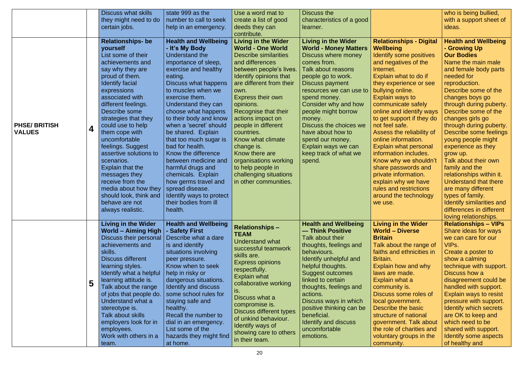|                                      |   | <b>Discuss what skills</b>                                                                                                                                                                                                                                                                                                                                                                                                                                                                                              | state 999 as the                                                                                                                                                                                                                                                                                                                                                                                                                                                                                                                                                            | Use a word mat to                                                                                                                                                                                                                                                                                                                                                                                                                                                                           | Discuss the                                                                                                                                                                                                                                                                                                                                                                                             |                                                                                                                                                                                                                                                                                                                                                                                                                                                                                                                                                                                         | who is being bullied,                                                                                                                                                                                                                                                                                                                                                                                                                                                                                                                                                                                    |
|--------------------------------------|---|-------------------------------------------------------------------------------------------------------------------------------------------------------------------------------------------------------------------------------------------------------------------------------------------------------------------------------------------------------------------------------------------------------------------------------------------------------------------------------------------------------------------------|-----------------------------------------------------------------------------------------------------------------------------------------------------------------------------------------------------------------------------------------------------------------------------------------------------------------------------------------------------------------------------------------------------------------------------------------------------------------------------------------------------------------------------------------------------------------------------|---------------------------------------------------------------------------------------------------------------------------------------------------------------------------------------------------------------------------------------------------------------------------------------------------------------------------------------------------------------------------------------------------------------------------------------------------------------------------------------------|---------------------------------------------------------------------------------------------------------------------------------------------------------------------------------------------------------------------------------------------------------------------------------------------------------------------------------------------------------------------------------------------------------|-----------------------------------------------------------------------------------------------------------------------------------------------------------------------------------------------------------------------------------------------------------------------------------------------------------------------------------------------------------------------------------------------------------------------------------------------------------------------------------------------------------------------------------------------------------------------------------------|----------------------------------------------------------------------------------------------------------------------------------------------------------------------------------------------------------------------------------------------------------------------------------------------------------------------------------------------------------------------------------------------------------------------------------------------------------------------------------------------------------------------------------------------------------------------------------------------------------|
|                                      |   | they might need to do                                                                                                                                                                                                                                                                                                                                                                                                                                                                                                   | number to call to seek                                                                                                                                                                                                                                                                                                                                                                                                                                                                                                                                                      | create a list of good                                                                                                                                                                                                                                                                                                                                                                                                                                                                       | characteristics of a good                                                                                                                                                                                                                                                                                                                                                                               |                                                                                                                                                                                                                                                                                                                                                                                                                                                                                                                                                                                         | with a support sheet of                                                                                                                                                                                                                                                                                                                                                                                                                                                                                                                                                                                  |
|                                      |   | certain jobs.                                                                                                                                                                                                                                                                                                                                                                                                                                                                                                           | help in an emergency.                                                                                                                                                                                                                                                                                                                                                                                                                                                                                                                                                       | deeds they can                                                                                                                                                                                                                                                                                                                                                                                                                                                                              | learner.                                                                                                                                                                                                                                                                                                                                                                                                |                                                                                                                                                                                                                                                                                                                                                                                                                                                                                                                                                                                         | ideas.                                                                                                                                                                                                                                                                                                                                                                                                                                                                                                                                                                                                   |
| <b>PHSE/BRITISH</b><br><b>VALUES</b> | 4 | <b>Relationships- be</b><br>yourself<br>List some of their<br>achievements and<br>say why they are<br>proud of them.<br><b>Identify facial</b><br>expressions<br>associated with<br>different feelings.<br>Describe some<br>strategies that they<br>could use to help<br>them cope with<br>uncomfortable<br>feelings. Suggest<br>assertive solutions to<br>scenarios.<br>Explain that the<br>messages they<br>receive from the<br>media about how they<br>should look, think and<br>behave are not<br>always realistic. | <b>Health and Wellbeing</b><br>- It's My Body<br>Understand the<br>importance of sleep,<br>exercise and healthy<br>eating.<br><b>Discuss what happens</b><br>to muscles when we<br>exercise them.<br>Understand they can<br>choose what happens<br>to their body and know<br>when a 'secret' should<br>be shared. Explain<br>that too much sugar is<br>bad for health.<br>Know the difference<br>between medicine and<br>harmful drugs and<br>chemicals. Explain<br>how germs travel and<br>spread disease.<br>Identify ways to protect<br>their bodies from ill<br>health. | contribute.<br><b>Living in the Wider</b><br><b>World - One World</b><br><b>Describe similarities</b><br>and differences<br>between people's lives.<br>Identify opinions that<br>are different from their<br>own.<br>Express their own<br>opinions.<br>Recognise that their<br>actions impact on<br>people in different<br>countries.<br>Know what climate<br>change is.<br>Know there are<br>organisations working<br>to help people in<br>challenging situations<br>in other communities. | <b>Living in the Wider</b><br><b>World - Money Matters</b><br>Discuss where money<br>comes from.<br><b>Talk about reasons</b><br>people go to work.<br>Discuss payment<br>resources we can use to<br>spend money.<br>Consider why and how<br>people might borrow<br>money.<br>Discuss the choices we<br>have about how to<br>spend our money.<br>Explain ways we can<br>keep track of what we<br>spend. | <b>Relationships - Digital</b><br><b>Wellbeing</b><br>Identify some positives<br>and negatives of the<br>Internet.<br>Explain what to do if<br>they experience or see<br>bullying online.<br>Explain ways to<br>communicate safely<br>online and identify ways<br>to get support if they do<br>not feel safe.<br>Assess the reliability of<br>online information.<br><b>Explain what personal</b><br>information includes.<br>Know why we shouldn't<br>share passwords and<br>private information.<br>explain why we have<br>rules and restrictions<br>around the technology<br>we use. | <b>Health and Wellbeing</b><br>- Growing Up<br><b>Our Bodies</b><br>Name the main male<br>and female body parts<br>needed for<br>reproduction.<br>Describe some of the<br>changes boys go<br>through during puberty.<br>Describe some of the<br>changes girls go<br>through during puberty.<br>Describe some feelings<br>young people might<br>experience as they<br>grow up.<br>Talk about their own<br>family and the<br>relationships within it.<br>Understand that there<br>are many different<br>types of family.<br>Identify similarities and<br>differences in different<br>loving relationships. |
|                                      | 5 | <b>Living in the Wider</b><br><b>World - Aiming High</b><br>Discuss their personal<br>achievements and<br>skills.<br><b>Discuss different</b><br>learning styles.<br>Identify what a helpful<br>learning attitude is.<br>Talk about the range<br>of jobs that people do.<br>Understand what a<br>stereotype is.<br>Talk about skills<br>employers look for in<br>employees.<br>Work with others in a<br>team.                                                                                                           | <b>Health and Wellbeing</b><br>- Safety First<br>Describe what a dare<br>is and identify<br>situations involving<br>peer pressure.<br>Know when to seek<br>help in risky or<br>dangerous situations.<br>Identify and discuss<br>some school rules for<br>staying safe and<br>healthy.<br>Recall the number to<br>dial in an emergency.<br>List some of the<br>hazards they might find<br>at home.                                                                                                                                                                           | <b>Relationships -</b><br><b>TEAM</b><br><b>Understand what</b><br>successful teamwork<br>skills are.<br><b>Express opinions</b><br>respectfully.<br><b>Explain what</b><br>collaborative working<br>is.<br>Discuss what a<br>compromise is.<br>Discuss different types<br>of unkind behaviour.<br>Identify ways of<br>showing care to others<br>in their team.                                                                                                                             | <b>Health and Wellbeing</b><br>— Think Positive<br>Talk about their<br>thoughts, feelings and<br>behaviours.<br>Identify unhelpful and<br>helpful thoughts.<br><b>Suggest outcomes</b><br>linked to certain<br>thoughts, feelings and<br>actions.<br>Discuss ways in which<br>positive thinking can be<br>beneficial.<br>Identify and discuss<br>uncomfortable<br>emotions.                             | <b>Living in the Wider</b><br><b>World - Diverse</b><br><b>Britain</b><br>Talk about the range of<br>faiths and ethnicities in<br>Britain.<br><b>Explain how and why</b><br>laws are made.<br>Explain what a<br>community is.<br>Discuss some roles of<br>local government.<br>Describe the basic<br>structure of national<br>government. Talk about<br>the role of charities and<br>voluntary groups in the<br>community.                                                                                                                                                              | <b>Relationships - VIPs</b><br>Share ideas for ways<br>we can care for our<br>VIPs.<br>Create a poster to<br>show a calming<br>technique with support.<br>Discuss how a<br>disagreement could be<br>handled with support.<br><b>Explain ways to resist</b><br>pressure with support.<br>Identify which secrets<br>are OK to keep and<br>which need to be<br>shared with support.<br>Identify some aspects<br>of healthy and                                                                                                                                                                              |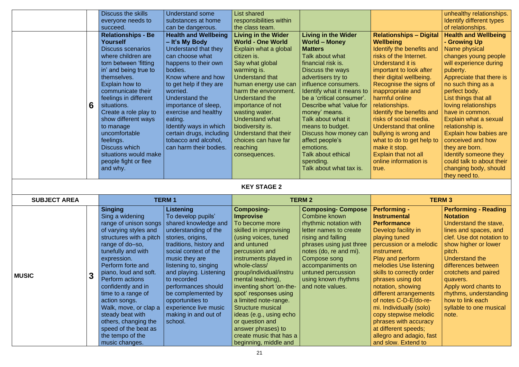|                                                                                                                                                                                                                                                                                       | unhealthy relationships.<br>Identify different types<br>of relationships.                                                                                                                                                                                                                             |
|---------------------------------------------------------------------------------------------------------------------------------------------------------------------------------------------------------------------------------------------------------------------------------------|-------------------------------------------------------------------------------------------------------------------------------------------------------------------------------------------------------------------------------------------------------------------------------------------------------|
| <b>Relationships - Digital</b><br>Wellbeing<br><b>Identify the benefits and</b><br>risks of the Internet.<br>Understand it is<br>important to look after<br>their digital wellbeing.<br>Recognise the signs of                                                                        | <b>Health and Wellbeing</b><br>- Growing Up<br><b>Name physical</b><br>changes young people<br>will experience during<br>puberty.<br>Appreciate that there is<br>no such thing as a                                                                                                                   |
| inappropriate and<br>harmful online<br>relationships.<br>Identify the benefits and<br>risks of social media.<br><b>Understand that online</b><br>bullying is wrong and<br>what to do to get help to<br>make it stop.<br><b>Explain that not all</b><br>online information is<br>true. | perfect body.<br>List things that all<br>loving relationships<br>have in common.<br>Explain what a sexual<br>relationship is.<br><b>Explain how babies are</b><br>conceived and how<br>they are born.<br>Identify someone they<br>could talk to about their<br>changing body, should<br>they need to. |

|                     |              | <b>Discuss the skills</b>                                                                                                                                                                                                                                                                                          | <b>Understand some</b>                                                                                                                                                                                                                                                                                                    | <b>List shared</b>                                                                                                                                                                                                                                                                                                       |                                                                                                                                                                                                                                                                                                                     |                                                                                                                                                                                                                                                                                                                                | unl                                                                                                             |
|---------------------|--------------|--------------------------------------------------------------------------------------------------------------------------------------------------------------------------------------------------------------------------------------------------------------------------------------------------------------------|---------------------------------------------------------------------------------------------------------------------------------------------------------------------------------------------------------------------------------------------------------------------------------------------------------------------------|--------------------------------------------------------------------------------------------------------------------------------------------------------------------------------------------------------------------------------------------------------------------------------------------------------------------------|---------------------------------------------------------------------------------------------------------------------------------------------------------------------------------------------------------------------------------------------------------------------------------------------------------------------|--------------------------------------------------------------------------------------------------------------------------------------------------------------------------------------------------------------------------------------------------------------------------------------------------------------------------------|-----------------------------------------------------------------------------------------------------------------|
|                     |              | everyone needs to                                                                                                                                                                                                                                                                                                  | substances at home                                                                                                                                                                                                                                                                                                        | responsibilities within                                                                                                                                                                                                                                                                                                  |                                                                                                                                                                                                                                                                                                                     |                                                                                                                                                                                                                                                                                                                                | Ide                                                                                                             |
|                     |              | succeed.                                                                                                                                                                                                                                                                                                           | can be dangerous.                                                                                                                                                                                                                                                                                                         | the class team.                                                                                                                                                                                                                                                                                                          |                                                                                                                                                                                                                                                                                                                     |                                                                                                                                                                                                                                                                                                                                | of <sub>1</sub>                                                                                                 |
|                     | 6            | <b>Relationships - Be</b><br><b>Yourself</b><br><b>Discuss scenarios</b><br>where children are<br>torn between 'fitting<br>in' and being true to<br>themselves.<br>Explain how to<br>communicate their<br>feelings in different<br>situations.<br>Create a role play to<br>show different ways                     | <b>Health and Wellbeing</b><br>- It's My Body<br>Understand that they<br>can choose what<br>happens to their own<br>bodies.<br>Know where and how<br>to get help if they are<br>worried.<br>Understand the<br>importance of sleep,<br>exercise and healthy<br>eating.                                                     | <b>Living in the Wider</b><br><b>World - One World</b><br>Explain what a global<br>citizen is.<br>Say what global<br>warming is.<br><b>Understand that</b><br>human energy use can<br>harm the environment.<br>Understand the<br>importance of not<br>wasting water.<br><b>Understand what</b>                           | <b>Living in the Wider</b><br><b>World - Money</b><br><b>Matters</b><br><b>Talk about what</b><br>financial risk is.<br>Discuss the ways<br>advertisers try to<br>influence consumers.<br>Identify what it means to<br>be a 'critical consumer'.<br>Describe what 'value for<br>money' means.<br>Talk about what it | <b>Relationships - Digital</b><br><b>Wellbeing</b><br>Identify the benefits and<br>risks of the Internet.<br>Understand it is<br>important to look after<br>their digital wellbeing.<br>Recognise the signs of<br>inappropriate and<br>harmful online<br>relationships.<br>Identify the benefits and<br>risks of social media. | He<br>- G<br><b>Na</b><br>cha<br>wil<br>pul<br>Ap<br>no<br>pel<br>Lis<br>lov<br>ha<br>Ex                        |
|                     |              | to manage<br>uncomfortable<br>feelings.<br>Discuss which<br>situations would make<br>people fight or flee<br>and why.                                                                                                                                                                                              | Identify ways in which<br>certain drugs, including<br>tobacco and alcohol,<br>can harm their bodies.                                                                                                                                                                                                                      | biodiversity is.<br>Understand that their<br>choices can have far<br>reaching<br>consequences.<br><b>KEY STAGE 2</b>                                                                                                                                                                                                     | means to budget.<br>Discuss how money can<br>affect people's<br>emotions.<br><b>Talk about ethical</b><br>spending.<br>Talk about what tax is.                                                                                                                                                                      | Understand that online<br>bullying is wrong and<br>what to do to get help to<br>make it stop.<br>Explain that not all<br>online information is<br>true.                                                                                                                                                                        | rel<br>Ex<br>COI<br>the<br>$Id\epsilon$<br>COI<br>cha<br>the                                                    |
| <b>SUBJECT AREA</b> |              |                                                                                                                                                                                                                                                                                                                    | <b>TERM 1</b>                                                                                                                                                                                                                                                                                                             | <b>TERM 2</b>                                                                                                                                                                                                                                                                                                            | <b>TERM3</b>                                                                                                                                                                                                                                                                                                        |                                                                                                                                                                                                                                                                                                                                |                                                                                                                 |
|                     |              | <b>Singing</b>                                                                                                                                                                                                                                                                                                     | <b>Listening</b>                                                                                                                                                                                                                                                                                                          | <b>Composing-</b>                                                                                                                                                                                                                                                                                                        | <b>Composing- Compose</b>                                                                                                                                                                                                                                                                                           | <b>Performing -</b>                                                                                                                                                                                                                                                                                                            | Pe                                                                                                              |
| <b>MUSIC</b>        | $\mathbf{3}$ | Sing a widening<br>range of unison songs<br>of varying styles and<br>structures with a pitch<br>range of do-so,<br>tunefully and with<br>expression.<br>Perform forte and<br>piano, loud and soft.<br><b>Perform actions</b><br>confidently and in<br>time to a range of<br>action songs.<br>Walk, move, or clap a | To develop pupils'<br>shared knowledge and<br>understanding of the<br>stories, origins,<br>traditions, history and<br>social context of the<br>music they are<br>listening to, singing<br>and playing. Listening<br>to recorded<br>performances should<br>be complemented by<br>opportunities to<br>experience live music | <b>Improvise</b><br>To become more<br>skilled in improvising<br>(using voices, tuned<br>and untuned<br>percussion and<br>instruments played in<br>whole-class/<br>group/individual/instru<br>mental teaching),<br>inventing short 'on-the-<br>spot' responses using<br>a limited note-range.<br><b>Structure musical</b> | Combine known<br>rhythmic notation with<br>letter names to create<br>rising and falling<br>phrases using just three<br>notes (do, re and mi).<br>Compose song<br>accompaniments on<br>untuned percussion<br>using known rhythms<br>and note values.                                                                 | <b>Instrumental</b><br><b>Performance</b><br>Develop facility in<br>playing tuned<br>percussion or a melodic<br>instrument.<br>Play and perform<br>melodies Use listening<br>skills to correctly order<br>phrases using dot<br>notation, showing<br>different arrangements<br>of notes C-D-E/do-re-<br>mi. Individually (solo) | <b>No</b><br>Un<br>line<br>cle<br><b>sh</b><br>pito<br>Un<br>diff<br>crc<br>qu<br>Ap<br><b>rhy</b><br>ho<br>syl |

music changes.

beginning, middle and

| <b>TERM3</b>                                                                                                                                                                                                                                                                                                                                                 |                                                                                                                                                                                                                                                                                                                                               |  |  |  |  |  |
|--------------------------------------------------------------------------------------------------------------------------------------------------------------------------------------------------------------------------------------------------------------------------------------------------------------------------------------------------------------|-----------------------------------------------------------------------------------------------------------------------------------------------------------------------------------------------------------------------------------------------------------------------------------------------------------------------------------------------|--|--|--|--|--|
| <b>Performing -</b><br><b>Instrumental</b><br><b>Performance</b><br>Develop facility in<br>playing tuned<br>percussion or a melodic<br>instrument.<br><b>Play and perform</b><br>melodies Use listening<br>skills to correctly order<br>phrases using dot<br>notation, showing<br>different arrangements<br>of notes C-D-E/do-re-<br>mi. Individually (solo) | <b>Performing - Reading</b><br><b>Notation</b><br>Understand the stave,<br>lines and spaces, and<br>clef. Use dot notation to<br>show higher or lower<br>pitch.<br>Understand the<br>differences between<br>crotchets and paired<br>quavers.<br>Apply word chants to<br>rhythms, understanding<br>how to link each<br>syllable to one musical |  |  |  |  |  |
| copy stepwise melodic                                                                                                                                                                                                                                                                                                                                        | note.                                                                                                                                                                                                                                                                                                                                         |  |  |  |  |  |
| phrases with accuracy<br>at different speeds;<br>allegro and adagio, fast                                                                                                                                                                                                                                                                                    |                                                                                                                                                                                                                                                                                                                                               |  |  |  |  |  |
| and slow. Extend to                                                                                                                                                                                                                                                                                                                                          |                                                                                                                                                                                                                                                                                                                                               |  |  |  |  |  |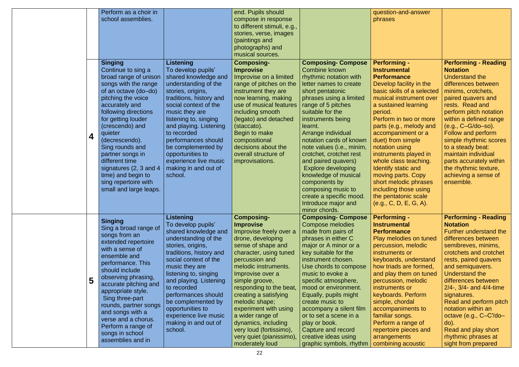|   | Perform as a choir in                                                                                                                                                                                                                                                                                                                                                                                          |                                                                                                                                                                                                                                                                                                                                                                                  | end. Pupils should                                                                                                                                                                                                                                                                                                                                                                                                                        |                                                                                                                                                                                                                                                                                                                                                                                                                                                                                                                               | question-and-answer                                                                                                                                                                                                                                                                                                                                                                                                                                                                                          |                                                                                                                                                                                                                                                                                                                                                                                                                                                            |
|---|----------------------------------------------------------------------------------------------------------------------------------------------------------------------------------------------------------------------------------------------------------------------------------------------------------------------------------------------------------------------------------------------------------------|----------------------------------------------------------------------------------------------------------------------------------------------------------------------------------------------------------------------------------------------------------------------------------------------------------------------------------------------------------------------------------|-------------------------------------------------------------------------------------------------------------------------------------------------------------------------------------------------------------------------------------------------------------------------------------------------------------------------------------------------------------------------------------------------------------------------------------------|-------------------------------------------------------------------------------------------------------------------------------------------------------------------------------------------------------------------------------------------------------------------------------------------------------------------------------------------------------------------------------------------------------------------------------------------------------------------------------------------------------------------------------|--------------------------------------------------------------------------------------------------------------------------------------------------------------------------------------------------------------------------------------------------------------------------------------------------------------------------------------------------------------------------------------------------------------------------------------------------------------------------------------------------------------|------------------------------------------------------------------------------------------------------------------------------------------------------------------------------------------------------------------------------------------------------------------------------------------------------------------------------------------------------------------------------------------------------------------------------------------------------------|
|   | school assemblies.                                                                                                                                                                                                                                                                                                                                                                                             |                                                                                                                                                                                                                                                                                                                                                                                  | compose in response<br>to different stimuli, e.g.,<br>stories, verse, images<br>(paintings and<br>photographs) and<br>musical sources.                                                                                                                                                                                                                                                                                                    |                                                                                                                                                                                                                                                                                                                                                                                                                                                                                                                               | phrases                                                                                                                                                                                                                                                                                                                                                                                                                                                                                                      |                                                                                                                                                                                                                                                                                                                                                                                                                                                            |
| 4 | <b>Singing</b><br>Continue to sing a<br>broad range of unison<br>songs with the range<br>of an octave (do-do)<br>pitching the voice<br>accurately and<br>following directions<br>for getting louder<br>(crescendo) and<br>quieter<br>(decrescendo).<br>Sing rounds and<br>partner songs in<br>different time<br>signatures (2, 3 and 4<br>time) and begin to<br>sing repertoire with<br>small and large leaps. | Listening<br>To develop pupils'<br>shared knowledge and<br>understanding of the<br>stories, origins,<br>traditions, history and<br>social context of the<br>music they are<br>listening to, singing<br>and playing. Listening<br>to recorded<br>performances should<br>be complemented by<br>opportunities to<br>experience live music<br>making in and out of<br>school.        | <b>Composing-</b><br><b>Improvise</b><br>Improvise on a limited<br>range of pitches on the<br>instrument they are<br>now learning, making<br>use of musical features<br>including smooth<br>(legato) and detached<br>(staccato).<br>Begin to make<br>compositional<br>decisions about the<br>overall structure of<br>improvisations.                                                                                                      | <b>Composing- Compose</b><br><b>Combine known</b><br>rhythmic notation with<br>letter names to create<br>short pentatonic<br>phrases using a limited<br>range of 5 pitches<br>suitable for the<br>instruments being<br>learnt.<br>Arrange individual<br>notation cards of known<br>note values (i.e., minim,<br>crotchet, crotchet rest<br>and paired quavers)<br><b>Explore developing</b><br>knowledge of musical<br>components by<br>composing music to<br>create a specific mood.<br>Introduce major and<br>minor chords. | <b>Performing -</b><br><b>Instrumental</b><br><b>Performance</b><br>Develop facility in the<br>basic skills of a selected<br>musical instrument over<br>a sustained learning<br>period.<br>Perform in two or more<br>parts (e.g., melody and<br>accompaniment or a<br>duet) from simple<br>notation using<br>instruments played in<br>whole class teaching.<br>Identify static and<br>moving parts. Copy<br>short melodic phrases<br>including those using<br>the pentatonic scale<br>(e.g., C, D, E, G, A). | <b>Performing - Reading</b><br><b>Notation</b><br>Understand the<br>differences between<br>minims, crotchets,<br>paired quavers and<br>rests. Read and<br>perform pitch notation<br>within a defined range<br>$(e.g., C-G-do-so).$<br>Follow and perform<br>simple rhythmic scores<br>to a steady beat:<br>maintain individual<br>parts accurately within<br>the rhythmic texture,<br>achieving a sense of<br>ensemble.                                    |
|   | <b>Singing</b><br>Sing a broad range of<br>songs from an<br>extended repertoire<br>with a sense of<br>ensemble and<br>performance. This<br>should include<br>observing phrasing,<br>accurate pitching and<br>appropriate style.<br>Sing three-part<br>rounds, partner songs<br>and songs with a<br>verse and a chorus.<br>Perform a range of<br>songs in school<br>assemblies and in                           | <b>Listening</b><br>To develop pupils'<br>shared knowledge and<br>understanding of the<br>stories, origins,<br>traditions, history and<br>social context of the<br>music they are<br>listening to, singing<br>and playing. Listening<br>to recorded<br>performances should<br>be complemented by<br>opportunities to<br>experience live music<br>making in and out of<br>school. | <b>Composing-</b><br><b>Improvise</b><br>Improvise freely over a<br>drone, developing<br>sense of shape and<br>character, using tuned<br>percussion and<br>melodic instruments.<br>Improvise over a<br>simple groove,<br>responding to the beat,<br>creating a satisfying<br>melodic shape;<br>experiment with using<br>a wider range of<br>dynamics, including<br>very loud (fortissimo),<br>very quiet (pianissimo),<br>moderately loud | <b>Composing- Compose</b><br><b>Compose melodies</b><br>made from pairs of<br>phrases in either C<br>major or A minor or a<br>key suitable for the<br>instrument chosen.<br>Use chords to compose<br>music to evoke a<br>specific atmosphere,<br>mood or environment.<br>Equally, pupils might<br>create music to<br>accompany a silent film<br>or to set a scene in a<br>play or book.<br>Capture and record<br>creative ideas using<br>graphic symbols, rhythm                                                              | <b>Performing -</b><br><b>Instrumental</b><br><b>Performance</b><br>Play melodies on tuned<br>percussion, melodic<br>instruments or<br>keyboards, understand<br>how triads are formed,<br>and play them on tuned<br>percussion, melodic<br>instruments or<br>keyboards. Perform<br>simple, chordal<br>accompaniments to<br>familiar songs.<br>Perform a range of<br>repertoire pieces and<br>arrangements<br>combining acoustic                                                                              | <b>Performing - Reading</b><br><b>Notation</b><br><b>Further understand the</b><br>differences between<br>semibreves, minims,<br>crotchets and crotchet<br>rests, paired quavers<br>and semiquavers.<br>Understand the<br>differences between<br>$2/4$ -, $3/4$ - and $4/4$ -time<br>signatures.<br>Read and perform pitch<br>notation within an<br>octave (e.g., C-C'/do-<br>$do)$ .<br>Read and play short<br>rhythmic phrases at<br>sight from prepared |